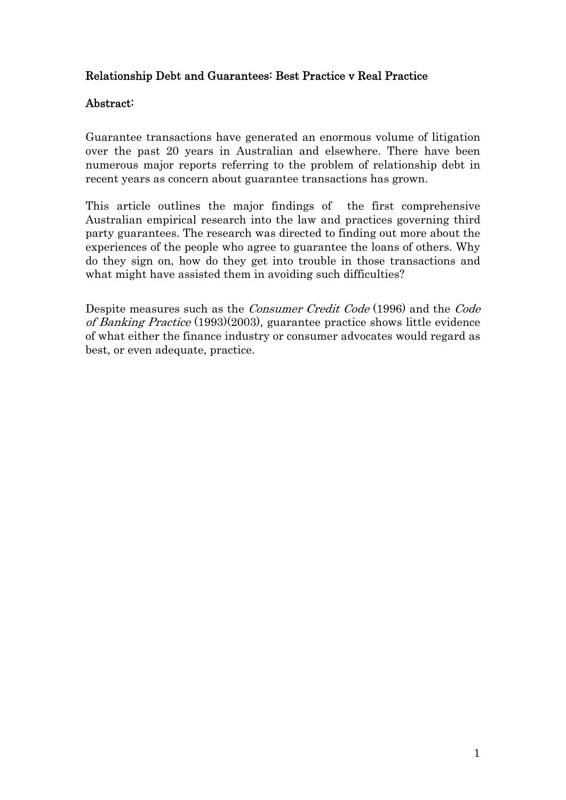# Relationship Debt and Guarantees: Best Practice v Real Practice

# Abstract:

Guarantee transactions have generated an enormous volume of litigation over the past 20 years in Australian and elsewhere. There have been numerous major reports referring to the problem of relationship debt in recent years as concern about guarantee transactions has grown.

This article outlines the major findings of the first comprehensive Australian empirical research into the law and practices governing third party guarantees. The research was directed to finding out more about the experiences of the people who agree to guarantee the loans of others. Why do they sign on, how do they get into trouble in those transactions and what might have assisted them in avoiding such difficulties?

Despite measures such as the Consumer Credit Code (1996) and the Code of Banking Practice (1993)(2003), guarantee practice shows little evidence of what either the finance industry or consumer advocates would regard as best, or even adequate, practice.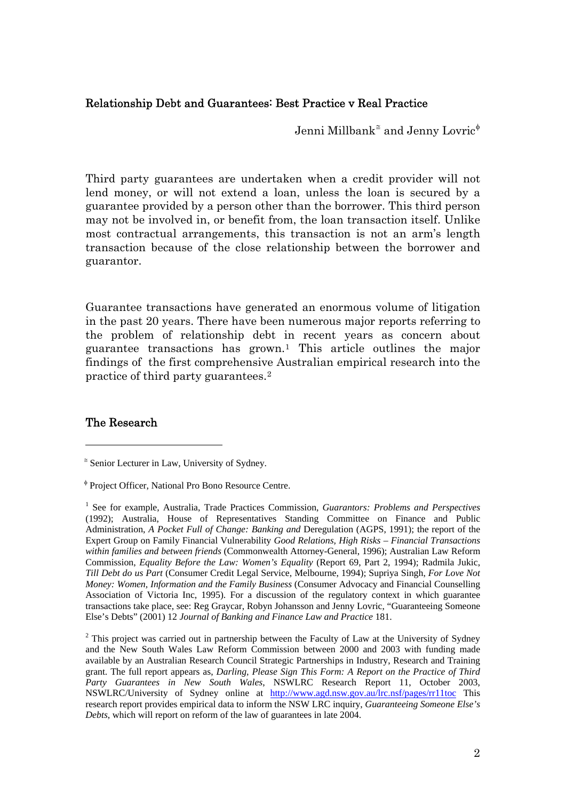## Relationship Debt and Guarantees: Best Practice v Real Practice

Jenni Millbank $^{\tilde{\equiv}}$  and Jenny Lovric $^{\phi}$ 

Third party guarantees are undertaken when a credit provider will not lend money, or will not extend a loan, unless the loan is secured by a guarantee provided by a person other than the borrower. This third person may not be involved in, or benefit from, the loan transaction itself. Unlike most contractual arrangements, this transaction is not an arm's length transaction because of the close relationship between the borrower and guarantor.

Guarantee transactions have generated an enormous volume of litigation in the past 20 years. There have been numerous major reports referring to the problem of relationship debt in recent years as concern about guarantee transactions has grown.[1](#page-1-2) This article outlines the major findings of the first comprehensive Australian empirical research into the practice of third party guarantees.[2](#page-1-3)

## The Research

<span id="page-1-0"></span><sup>≅</sup> Senior Lecturer in Law, University of Sydney.

<span id="page-1-1"></span>φ Project Officer, National Pro Bono Resource Centre.

<span id="page-1-2"></span><sup>&</sup>lt;sup>1</sup> See for example, Australia, Trade Practices Commission, *Guarantors: Problems and Perspectives* (1992); Australia, House of Representatives Standing Committee on Finance and Public Administration, *A Pocket Full of Change: Banking and* Deregulation (AGPS, 1991); the report of the Expert Group on Family Financial Vulnerability *Good Relations, High Risks – Financial Transactions within families and between friends* (Commonwealth Attorney-General, 1996); Australian Law Reform Commission, *Equality Before the Law: Women's Equality* (Report 69, Part 2, 1994); Radmila Jukic, *Till Debt do us Part* (Consumer Credit Legal Service, Melbourne, 1994); Supriya Singh, *For Love Not Money: Women, Information and the Family Business* (Consumer Advocacy and Financial Counselling Association of Victoria Inc, 1995). For a discussion of the regulatory context in which guarantee transactions take place, see: Reg Graycar, Robyn Johansson and Jenny Lovric, "Guaranteeing Someone Else's Debts" (2001) 12 *Journal of Banking and Finance Law and Practice* 181.

<span id="page-1-3"></span> $2$  This project was carried out in partnership between the Faculty of Law at the University of Sydney and the New South Wales Law Reform Commission between 2000 and 2003 with funding made available by an Australian Research Council Strategic Partnerships in Industry, Research and Training grant. The full report appears as, *Darling, Please Sign This Form: A Report on the Practice of Third Party Guarantees in New South Wales*, NSWLRC Research Report 11, October 2003, NSWLRC/University of Sydney online at <http://www.agd.nsw.gov.au/lrc.nsf/pages/rr11toc> This research report provides empirical data to inform the NSW LRC inquiry, *Guaranteeing Someone Else's Debts*, which will report on reform of the law of guarantees in late 2004.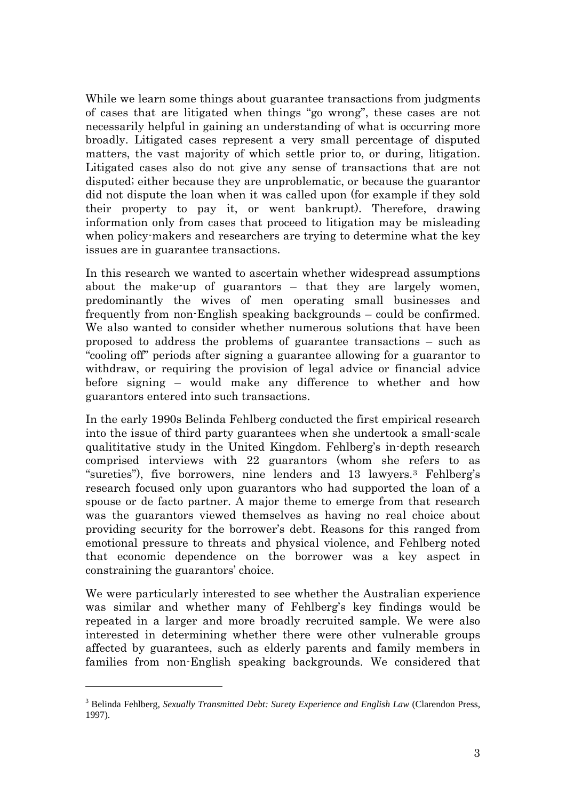While we learn some things about guarantee transactions from judgments of cases that are litigated when things "go wrong", these cases are not necessarily helpful in gaining an understanding of what is occurring more broadly. Litigated cases represent a very small percentage of disputed matters, the vast majority of which settle prior to, or during, litigation. Litigated cases also do not give any sense of transactions that are not disputed; either because they are unproblematic, or because the guarantor did not dispute the loan when it was called upon (for example if they sold their property to pay it, or went bankrupt). Therefore, drawing information only from cases that proceed to litigation may be misleading when policy-makers and researchers are trying to determine what the key issues are in guarantee transactions.

In this research we wanted to ascertain whether widespread assumptions about the make-up of guarantors – that they are largely women, predominantly the wives of men operating small businesses and frequently from non-English speaking backgrounds – could be confirmed. We also wanted to consider whether numerous solutions that have been proposed to address the problems of guarantee transactions – such as "cooling off" periods after signing a guarantee allowing for a guarantor to withdraw, or requiring the provision of legal advice or financial advice before signing – would make any difference to whether and how guarantors entered into such transactions.

In the early 1990s Belinda Fehlberg conducted the first empirical research into the issue of third party guarantees when she undertook a small-scale qualititative study in the United Kingdom. Fehlberg's in-depth research comprised interviews with 22 guarantors (whom she refers to as "sureties"), five borrowers, nine lenders and 13 lawyers.[3](#page-2-0) Fehlberg's research focused only upon guarantors who had supported the loan of a spouse or de facto partner. A major theme to emerge from that research was the guarantors viewed themselves as having no real choice about providing security for the borrower's debt. Reasons for this ranged from emotional pressure to threats and physical violence, and Fehlberg noted that economic dependence on the borrower was a key aspect in constraining the guarantors' choice.

We were particularly interested to see whether the Australian experience was similar and whether many of Fehlberg's key findings would be repeated in a larger and more broadly recruited sample. We were also interested in determining whether there were other vulnerable groups affected by guarantees, such as elderly parents and family members in families from non-English speaking backgrounds. We considered that

<span id="page-2-0"></span><sup>&</sup>lt;sup>3</sup> Belinda Fehlberg, *Sexually Transmitted Debt: Surety Experience and English Law* (Clarendon Press, 1997).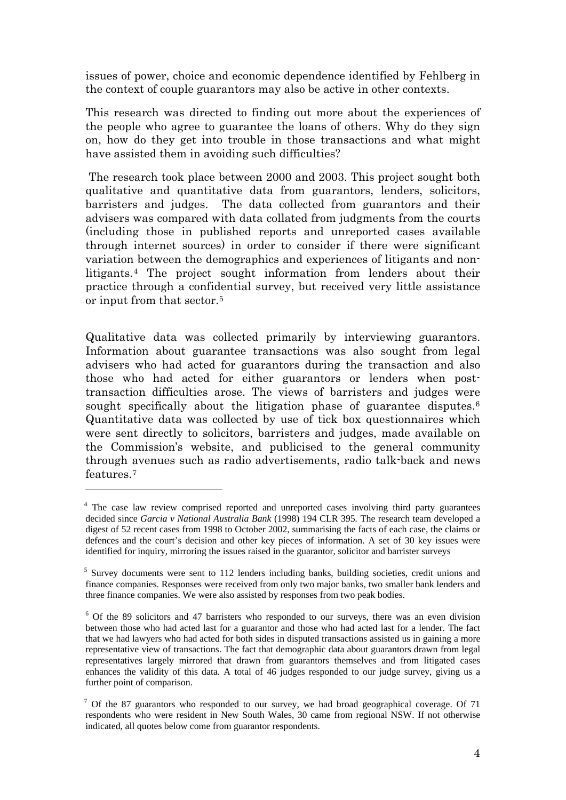issues of power, choice and economic dependence identified by Fehlberg in the context of couple guarantors may also be active in other contexts.

This research was directed to finding out more about the experiences of the people who agree to guarantee the loans of others. Why do they sign on, how do they get into trouble in those transactions and what might have assisted them in avoiding such difficulties?

 The research took place between 2000 and 2003. This project sought both qualitative and quantitative data from guarantors, lenders, solicitors, barristers and judges. The data collected from guarantors and their advisers was compared with data collated from judgments from the courts (including those in published reports and unreported cases available through internet sources) in order to consider if there were significant variation between the demographics and experiences of litigants and nonlitigants.[4](#page-3-0) The project sought information from lenders about their practice through a confidential survey, but received very little assistance or input from that sector.[5](#page-3-1)

Qualitative data was collected primarily by interviewing guarantors. Information about guarantee transactions was also sought from legal advisers who had acted for guarantors during the transaction and also those who had acted for either guarantors or lenders when posttransaction difficulties arose. The views of barristers and judges were sought specifically about the litigation phase of guarantee disputes.<sup>6</sup> Quantitative data was collected by use of tick box questionnaires which were sent directly to solicitors, barristers and judges, made available on the Commission's website, and publicised to the general community through avenues such as radio advertisements, radio talk-back and news features<sup>[7](#page-3-3)</sup>

<span id="page-3-0"></span><sup>&</sup>lt;sup>4</sup> The case law review comprised reported and unreported cases involving third party guarantees decided since *Garcia v National Australia Bank* (1998) 194 CLR 395*.* The research team developed a digest of 52 recent cases from 1998 to October 2002, summarising the facts of each case, the claims or defences and the court's decision and other key pieces of information. A set of 30 key issues were identified for inquiry, mirroring the issues raised in the guarantor, solicitor and barrister surveys

<span id="page-3-1"></span><sup>&</sup>lt;sup>5</sup> Survey documents were sent to 112 lenders including banks, building societies, credit unions and finance companies. Responses were received from only two major banks, two smaller bank lenders and three finance companies. We were also assisted by responses from two peak bodies.

<span id="page-3-2"></span><sup>&</sup>lt;sup>6</sup> Of the 89 solicitors and 47 barristers who responded to our surveys, there was an even division between those who had acted last for a guarantor and those who had acted last for a lender. The fact that we had lawyers who had acted for both sides in disputed transactions assisted us in gaining a more representative view of transactions. The fact that demographic data about guarantors drawn from legal representatives largely mirrored that drawn from guarantors themselves and from litigated cases enhances the validity of this data. A total of 46 judges responded to our judge survey, giving us a further point of comparison.

<span id="page-3-3"></span> $7$  Of the 87 guarantors who responded to our survey, we had broad geographical coverage. Of 71 respondents who were resident in New South Wales, 30 came from regional NSW. If not otherwise indicated, all quotes below come from guarantor respondents.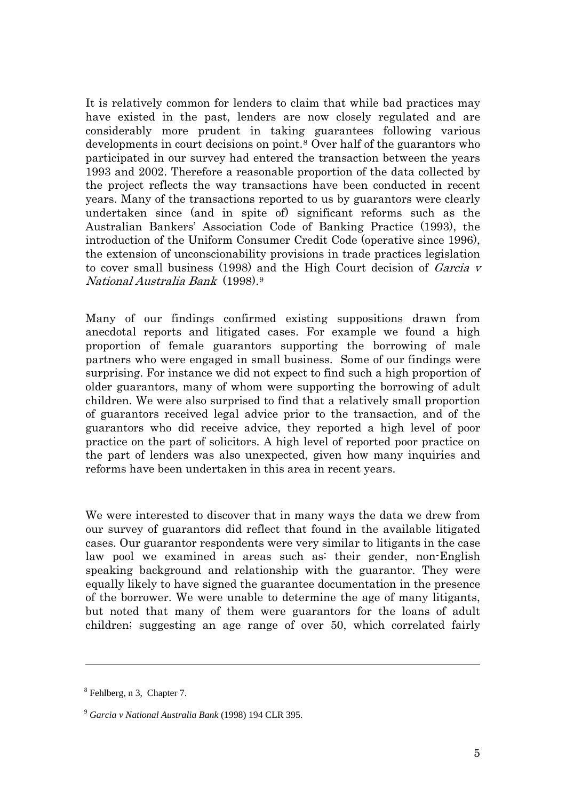It is relatively common for lenders to claim that while bad practices may have existed in the past, lenders are now closely regulated and are considerably more prudent in taking guarantees following various developments in court decisions on point.[8](#page-4-0) Over half of the guarantors who participated in our survey had entered the transaction between the years 1993 and 2002. Therefore a reasonable proportion of the data collected by the project reflects the way transactions have been conducted in recent years. Many of the transactions reported to us by guarantors were clearly undertaken since (and in spite of) significant reforms such as the Australian Bankers' Association Code of Banking Practice (1993), the introduction of the Uniform Consumer Credit Code (operative since 1996), the extension of unconscionability provisions in trade practices legislation to cover small business (1998) and the High Court decision of Garcia v National Australia Bank (1998).[9](#page-4-1)

Many of our findings confirmed existing suppositions drawn from anecdotal reports and litigated cases. For example we found a high proportion of female guarantors supporting the borrowing of male partners who were engaged in small business. Some of our findings were surprising. For instance we did not expect to find such a high proportion of older guarantors, many of whom were supporting the borrowing of adult children. We were also surprised to find that a relatively small proportion of guarantors received legal advice prior to the transaction, and of the guarantors who did receive advice, they reported a high level of poor practice on the part of solicitors. A high level of reported poor practice on the part of lenders was also unexpected, given how many inquiries and reforms have been undertaken in this area in recent years.

We were interested to discover that in many ways the data we drew from our survey of guarantors did reflect that found in the available litigated cases. Our guarantor respondents were very similar to litigants in the case law pool we examined in areas such as: their gender, non-English speaking background and relationship with the guarantor. They were equally likely to have signed the guarantee documentation in the presence of the borrower. We were unable to determine the age of many litigants, but noted that many of them were guarantors for the loans of adult children; suggesting an age range of over 50, which correlated fairly

<span id="page-4-0"></span><sup>&</sup>lt;sup>8</sup> Fehlberg, n 3, Chapter 7.

<span id="page-4-1"></span><sup>9</sup> *Garcia v National Australia Bank* (1998) 194 CLR 395.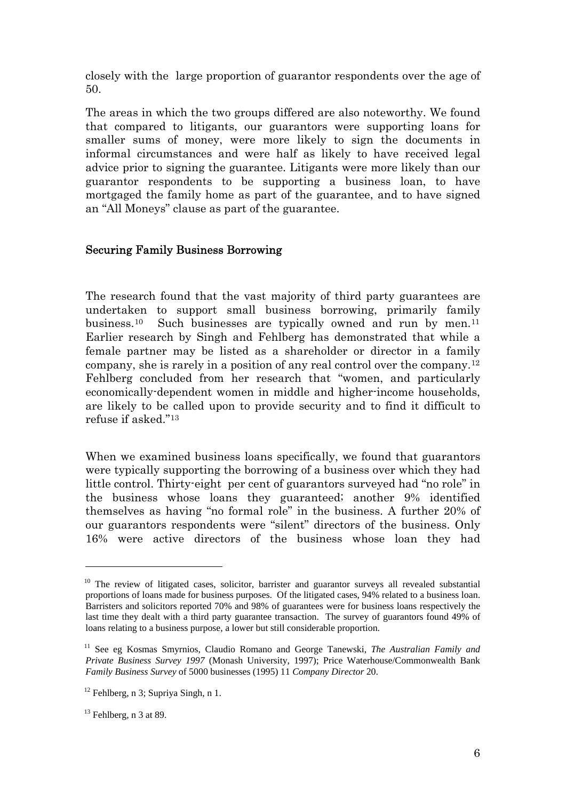closely with the large proportion of guarantor respondents over the age of 50.

The areas in which the two groups differed are also noteworthy. We found that compared to litigants, our guarantors were supporting loans for smaller sums of money, were more likely to sign the documents in informal circumstances and were half as likely to have received legal advice prior to signing the guarantee. Litigants were more likely than our guarantor respondents to be supporting a business loan, to have mortgaged the family home as part of the guarantee, and to have signed an "All Moneys" clause as part of the guarantee.

## Securing Family Business Borrowing

The research found that the vast majority of third party guarantees are undertaken to support small business borrowing, primarily family business.<sup>[10](#page-5-0)</sup> Such businesses are typically owned and run by men.<sup>[11](#page-5-1)</sup> Earlier research by Singh and Fehlberg has demonstrated that while a female partner may be listed as a shareholder or director in a family company, she is rarely in a position of any real control over the company.[12](#page-5-2) Fehlberg concluded from her research that "women, and particularly economically-dependent women in middle and higher-income households, are likely to be called upon to provide security and to find it difficult to refuse if asked."[13](#page-5-3)

When we examined business loans specifically, we found that guarantors were typically supporting the borrowing of a business over which they had little control. Thirty-eight per cent of guarantors surveyed had "no role" in the business whose loans they guaranteed; another 9% identified themselves as having "no formal role" in the business. A further 20% of our guarantors respondents were "silent" directors of the business. Only 16% were active directors of the business whose loan they had

<span id="page-5-0"></span> $10$  The review of litigated cases, solicitor, barrister and guarantor surveys all revealed substantial proportions of loans made for business purposes. Of the litigated cases, 94% related to a business loan. Barristers and solicitors reported 70% and 98% of guarantees were for business loans respectively the last time they dealt with a third party guarantee transaction. The survey of guarantors found 49% of loans relating to a business purpose, a lower but still considerable proportion.

<span id="page-5-1"></span><sup>11</sup> See eg Kosmas Smyrnios, Claudio Romano and George Tanewski, *The Australian Family and Private Business Survey 1997* (Monash University, 1997); Price Waterhouse/Commonwealth Bank *Family Business Survey* of 5000 businesses (1995) 11 *Company Director* 20.

<span id="page-5-2"></span> $12$  Fehlberg, n 3; Supriya Singh, n 1.

<span id="page-5-3"></span> $13$  Fehlberg, n 3 at 89.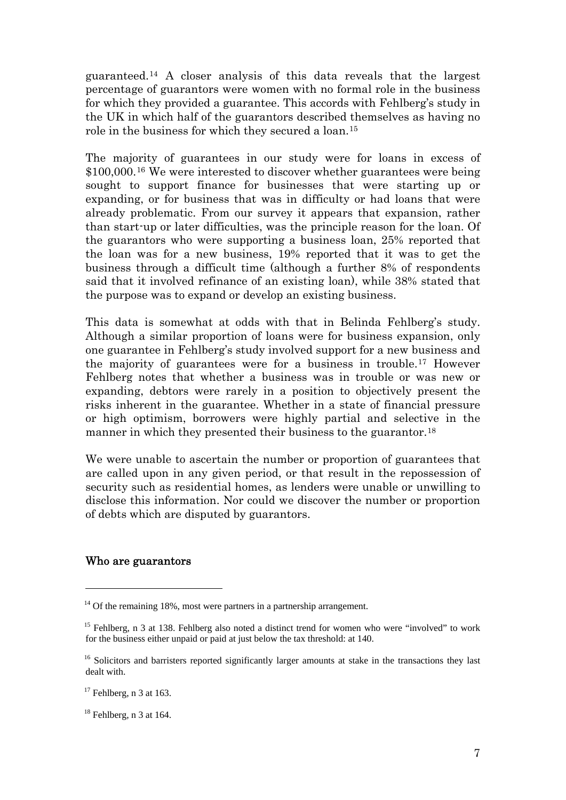guaranteed.[14](#page-6-0) A closer analysis of this data reveals that the largest percentage of guarantors were women with no formal role in the business for which they provided a guarantee. This accords with Fehlberg's study in the UK in which half of the guarantors described themselves as having no role in the business for which they secured a loan.[15](#page-6-1)

The majority of guarantees in our study were for loans in excess of \$100,000.[16](#page-6-2) We were interested to discover whether guarantees were being sought to support finance for businesses that were starting up or expanding, or for business that was in difficulty or had loans that were already problematic. From our survey it appears that expansion, rather than start-up or later difficulties, was the principle reason for the loan. Of the guarantors who were supporting a business loan, 25% reported that the loan was for a new business, 19% reported that it was to get the business through a difficult time (although a further 8% of respondents said that it involved refinance of an existing loan), while 38% stated that the purpose was to expand or develop an existing business.

This data is somewhat at odds with that in Belinda Fehlberg's study. Although a similar proportion of loans were for business expansion, only one guarantee in Fehlberg's study involved support for a new business and the majority of guarantees were for a business in trouble.[17](#page-6-3) However Fehlberg notes that whether a business was in trouble or was new or expanding, debtors were rarely in a position to objectively present the risks inherent in the guarantee. Whether in a state of financial pressure or high optimism, borrowers were highly partial and selective in the manner in which they presented their business to the guarantor.<sup>[18](#page-6-4)</sup>

We were unable to ascertain the number or proportion of guarantees that are called upon in any given period, or that result in the repossession of security such as residential homes, as lenders were unable or unwilling to disclose this information. Nor could we discover the number or proportion of debts which are disputed by guarantors.

#### Who are guarantors

<span id="page-6-0"></span> $14$  Of the remaining 18%, most were partners in a partnership arrangement.

<span id="page-6-1"></span><sup>&</sup>lt;sup>15</sup> Fehlberg, n 3 at 138. Fehlberg also noted a distinct trend for women who were "involved" to work for the business either unpaid or paid at just below the tax threshold: at 140.

<span id="page-6-2"></span><sup>&</sup>lt;sup>16</sup> Solicitors and barristers reported significantly larger amounts at stake in the transactions they last dealt with.

<span id="page-6-3"></span> $17$  Fehlberg, n 3 at 163.

<span id="page-6-4"></span> $18$  Fehlberg, n 3 at 164.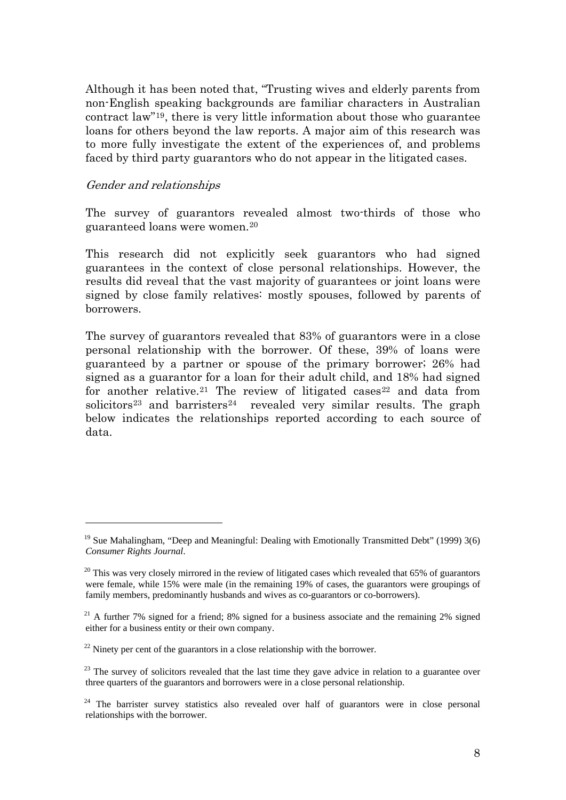Although it has been noted that, "Trusting wives and elderly parents from non-English speaking backgrounds are familiar characters in Australian contract law"[19](#page-7-0), there is very little information about those who guarantee loans for others beyond the law reports. A major aim of this research was to more fully investigate the extent of the experiences of, and problems faced by third party guarantors who do not appear in the litigated cases.

#### Gender and relationships

1

The survey of guarantors revealed almost two-thirds of those who guaranteed loans were women[.20](#page-7-1)

This research did not explicitly seek guarantors who had signed guarantees in the context of close personal relationships. However, the results did reveal that the vast majority of guarantees or joint loans were signed by close family relatives: mostly spouses, followed by parents of borrowers.

The survey of guarantors revealed that 83% of guarantors were in a close personal relationship with the borrower. Of these, 39% of loans were guaranteed by a partner or spouse of the primary borrower; 26% had signed as a guarantor for a loan for their adult child, and 18% had signed for another relative.<sup>[21](#page-7-2)</sup> The review of litigated cases<sup>[22](#page-7-3)</sup> and data from solicitors<sup>[23](#page-7-4)</sup> and barristers<sup>[24](#page-7-5)</sup> revealed very similar results. The graph below indicates the relationships reported according to each source of data.

<span id="page-7-0"></span><sup>&</sup>lt;sup>19</sup> Sue Mahalingham, "Deep and Meaningful: Dealing with Emotionally Transmitted Debt" (1999) 3(6) *Consumer Rights Journal*.

<span id="page-7-1"></span> $20$  This was very closely mirrored in the review of litigated cases which revealed that 65% of guarantors were female, while 15% were male (in the remaining 19% of cases, the guarantors were groupings of family members, predominantly husbands and wives as co-guarantors or co-borrowers).

<span id="page-7-2"></span><sup>&</sup>lt;sup>21</sup> A further 7% signed for a friend; 8% signed for a business associate and the remaining 2% signed either for a business entity or their own company.

<span id="page-7-3"></span> $^{22}$  Ninety per cent of the guarantors in a close relationship with the borrower.

<span id="page-7-4"></span> $23$  The survey of solicitors revealed that the last time they gave advice in relation to a guarantee over three quarters of the guarantors and borrowers were in a close personal relationship.

<span id="page-7-5"></span> $24$  The barrister survey statistics also revealed over half of guarantors were in close personal relationships with the borrower.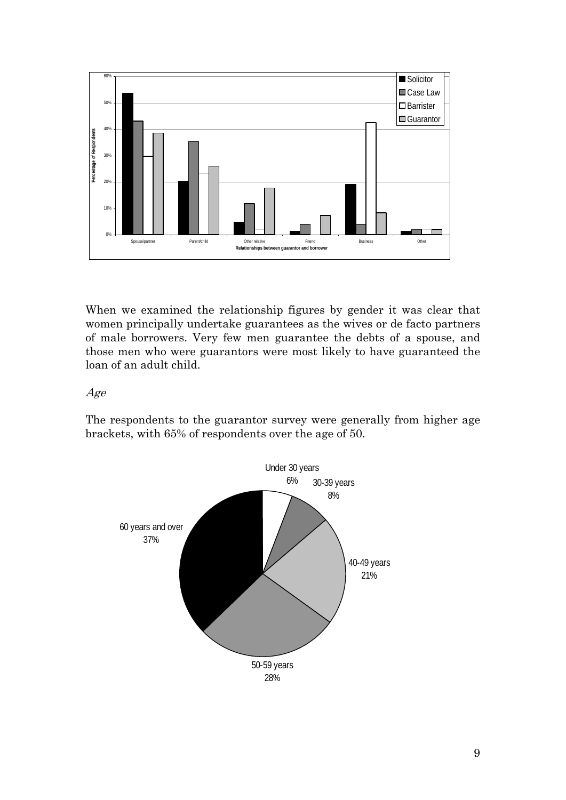

When we examined the relationship figures by gender it was clear that women principally undertake guarantees as the wives or de facto partners of male borrowers. Very few men guarantee the debts of a spouse, and those men who were guarantors were most likely to have guaranteed the loan of an adult child.

#### Age

The respondents to the guarantor survey were generally from higher age brackets, with 65% of respondents over the age of 50.

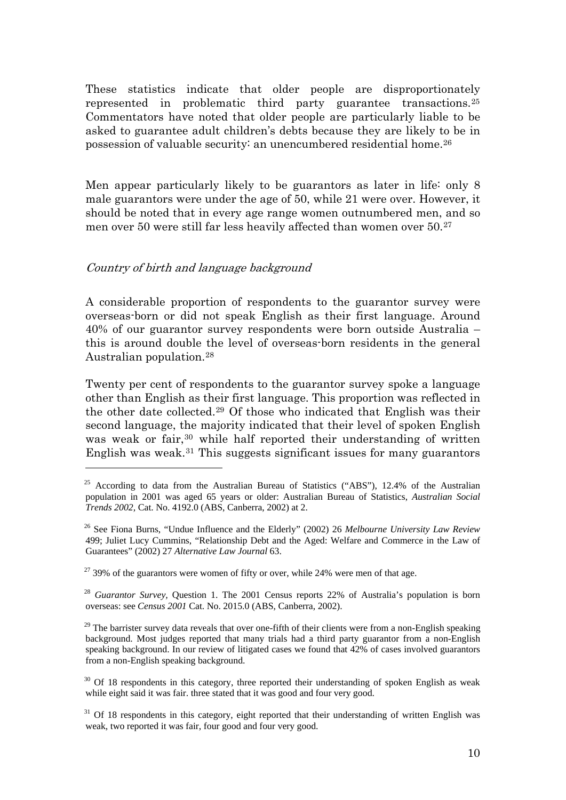These statistics indicate that older people are disproportionately represented in problematic third party guarantee transactions.[25](#page-9-0) Commentators have noted that older people are particularly liable to be asked to guarantee adult children's debts because they are likely to be in possession of valuable security: an unencumbered residential home[.26](#page-9-1)

Men appear particularly likely to be guarantors as later in life: only 8 male guarantors were under the age of 50, while 21 were over. However, it should be noted that in every age range women outnumbered men, and so men over 50 were still far less heavily affected than women over 50.[27](#page-9-2)

## Country of birth and language background

1

A considerable proportion of respondents to the guarantor survey were overseas-born or did not speak English as their first language. Around 40% of our guarantor survey respondents were born outside Australia – this is around double the level of overseas-born residents in the general Australian population.[28](#page-9-3)

Twenty per cent of respondents to the guarantor survey spoke a language other than English as their first language. This proportion was reflected in the other date collected.[29](#page-9-4) Of those who indicated that English was their second language, the majority indicated that their level of spoken English was weak or fair,<sup>[30](#page-9-5)</sup> while half reported their understanding of written English was weak.[31](#page-9-6) This suggests significant issues for many guarantors

<span id="page-9-0"></span><sup>&</sup>lt;sup>25</sup> According to data from the Australian Bureau of Statistics ("ABS"), 12.4% of the Australian population in 2001 was aged 65 years or older: Australian Bureau of Statistics, *Australian Social Trends 2002,* Cat. No. 4192.0 (ABS, Canberra, 2002) at 2.

<span id="page-9-1"></span><sup>26</sup> See Fiona Burns, "Undue Influence and the Elderly" (2002) 26 *Melbourne University Law Review*  499; Juliet Lucy Cummins, "Relationship Debt and the Aged: Welfare and Commerce in the Law of Guarantees" (2002) 27 *Alternative Law Journal* 63.

<span id="page-9-2"></span> $27$  39% of the guarantors were women of fifty or over, while 24% were men of that age.

<span id="page-9-3"></span><sup>28</sup> *Guarantor Survey,* Question 1. The 2001 Census reports 22% of Australia's population is born overseas: see *Census 2001* Cat. No. 2015.0 (ABS, Canberra, 2002).

<span id="page-9-4"></span> $29$  The barrister survey data reveals that over one-fifth of their clients were from a non-English speaking background. Most judges reported that many trials had a third party guarantor from a non-English speaking background. In our review of litigated cases we found that 42% of cases involved guarantors from a non-English speaking background.

<span id="page-9-5"></span> $30$  Of 18 respondents in this category, three reported their understanding of spoken English as weak while eight said it was fair. three stated that it was good and four very good.

<span id="page-9-6"></span> $31$  Of 18 respondents in this category, eight reported that their understanding of written English was weak, two reported it was fair, four good and four very good.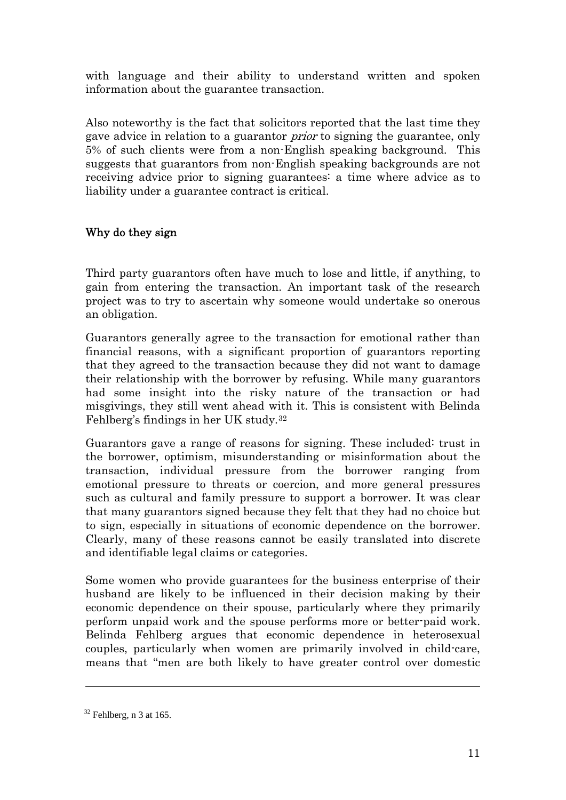with language and their ability to understand written and spoken information about the guarantee transaction.

Also noteworthy is the fact that solicitors reported that the last time they gave advice in relation to a guarantor prior to signing the guarantee, only 5% of such clients were from a non-English speaking background. This suggests that guarantors from non-English speaking backgrounds are not receiving advice prior to signing guarantees: a time where advice as to liability under a guarantee contract is critical.

# Why do they sign

Third party guarantors often have much to lose and little, if anything, to gain from entering the transaction. An important task of the research project was to try to ascertain why someone would undertake so onerous an obligation.

Guarantors generally agree to the transaction for emotional rather than financial reasons, with a significant proportion of guarantors reporting that they agreed to the transaction because they did not want to damage their relationship with the borrower by refusing. While many guarantors had some insight into the risky nature of the transaction or had misgivings, they still went ahead with it. This is consistent with Belinda Fehlberg's findings in her UK study.[32](#page-10-0)

Guarantors gave a range of reasons for signing. These included: trust in the borrower, optimism, misunderstanding or misinformation about the transaction, individual pressure from the borrower ranging from emotional pressure to threats or coercion, and more general pressures such as cultural and family pressure to support a borrower. It was clear that many guarantors signed because they felt that they had no choice but to sign, especially in situations of economic dependence on the borrower. Clearly, many of these reasons cannot be easily translated into discrete and identifiable legal claims or categories.

Some women who provide guarantees for the business enterprise of their husband are likely to be influenced in their decision making by their economic dependence on their spouse, particularly where they primarily perform unpaid work and the spouse performs more or better-paid work. Belinda Fehlberg argues that economic dependence in heterosexual couples, particularly when women are primarily involved in child-care, means that "men are both likely to have greater control over domestic

<span id="page-10-0"></span> $32$  Fehlberg, n 3 at 165.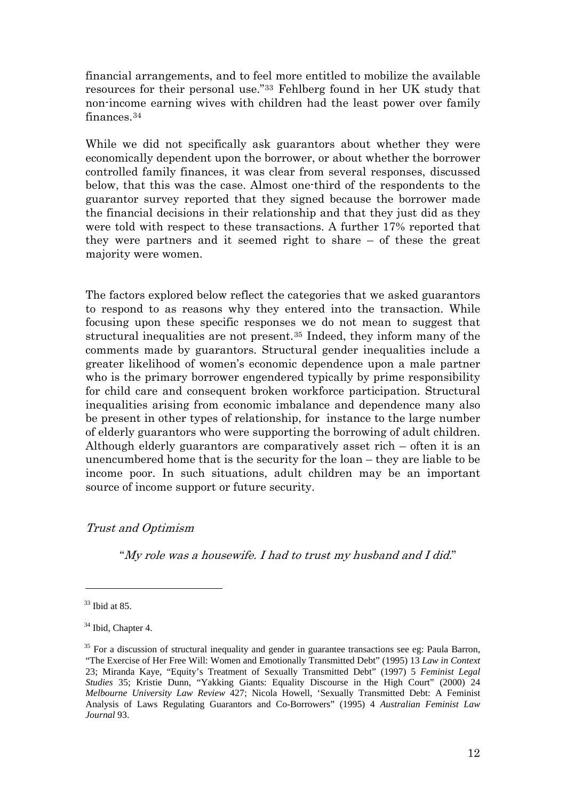financial arrangements, and to feel more entitled to mobilize the available resources for their personal use."[33](#page-11-0) Fehlberg found in her UK study that non-income earning wives with children had the least power over family finances.[34](#page-11-1)

While we did not specifically ask guarantors about whether they were economically dependent upon the borrower, or about whether the borrower controlled family finances, it was clear from several responses, discussed below, that this was the case. Almost one-third of the respondents to the guarantor survey reported that they signed because the borrower made the financial decisions in their relationship and that they just did as they were told with respect to these transactions. A further 17% reported that they were partners and it seemed right to share – of these the great majority were women.

The factors explored below reflect the categories that we asked guarantors to respond to as reasons why they entered into the transaction. While focusing upon these specific responses we do not mean to suggest that structural inequalities are not present.[35](#page-11-2) Indeed, they inform many of the comments made by guarantors. Structural gender inequalities include a greater likelihood of women's economic dependence upon a male partner who is the primary borrower engendered typically by prime responsibility for child care and consequent broken workforce participation. Structural inequalities arising from economic imbalance and dependence many also be present in other types of relationship, for instance to the large number of elderly guarantors who were supporting the borrowing of adult children. Although elderly guarantors are comparatively asset rich – often it is an unencumbered home that is the security for the loan – they are liable to be income poor. In such situations, adult children may be an important source of income support or future security.

## Trust and Optimism

"My role was a housewife. I had to trust my husband and I did."

<span id="page-11-0"></span> $33$  Ibid at 85.

<span id="page-11-1"></span><sup>&</sup>lt;sup>34</sup> Ibid, Chapter 4.

<span id="page-11-2"></span> $35$  For a discussion of structural inequality and gender in guarantee transactions see eg: Paula Barron, "The Exercise of Her Free Will: Women and Emotionally Transmitted Debt" (1995) 13 *Law in Context* 23; Miranda Kaye, "Equity's Treatment of Sexually Transmitted Debt" (1997) 5 *Feminist Legal Studies* 35; Kristie Dunn, "Yakking Giants: Equality Discourse in the High Court" (2000) 24 *Melbourne University Law Review* 427; Nicola Howell, 'Sexually Transmitted Debt: A Feminist Analysis of Laws Regulating Guarantors and Co-Borrowers" (1995) 4 *Australian Feminist Law Journal* 93.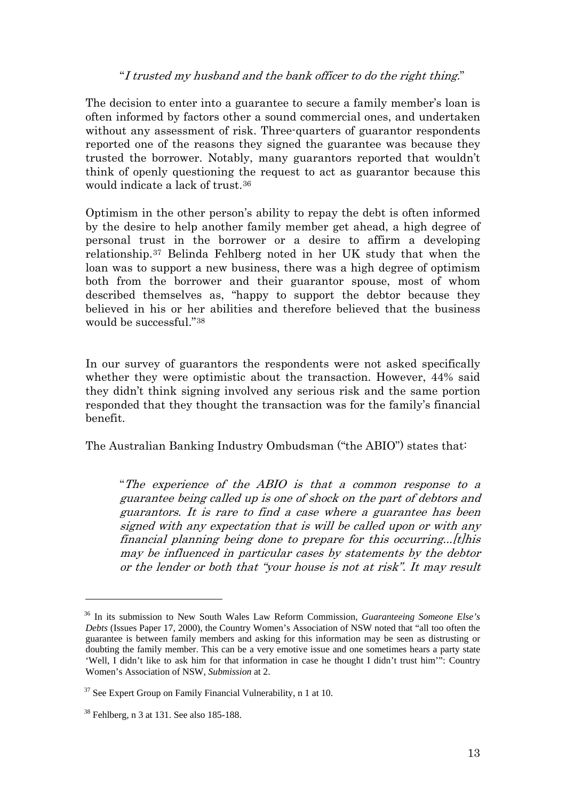## "I trusted my husband and the bank officer to do the right thing."

The decision to enter into a guarantee to secure a family member's loan is often informed by factors other a sound commercial ones, and undertaken without any assessment of risk. Three-quarters of guarantor respondents reported one of the reasons they signed the guarantee was because they trusted the borrower. Notably, many guarantors reported that wouldn't think of openly questioning the request to act as guarantor because this would indicate a lack of trust.[36](#page-12-0)

Optimism in the other person's ability to repay the debt is often informed by the desire to help another family member get ahead, a high degree of personal trust in the borrower or a desire to affirm a developing relationship.[37](#page-12-1) Belinda Fehlberg noted in her UK study that when the loan was to support a new business, there was a high degree of optimism both from the borrower and their guarantor spouse, most of whom described themselves as, "happy to support the debtor because they believed in his or her abilities and therefore believed that the business would be successful."[38](#page-12-2)

In our survey of guarantors the respondents were not asked specifically whether they were optimistic about the transaction. However, 44% said they didn't think signing involved any serious risk and the same portion responded that they thought the transaction was for the family's financial benefit.

The Australian Banking Industry Ombudsman ("the ABIO") states that:

"The experience of the ABIO is that a common response to a guarantee being called up is one of shock on the part of debtors and guarantors. It is rare to find a case where a guarantee has been signed with any expectation that is will be called upon or with any financial planning being done to prepare for this occurring...[t]his may be influenced in particular cases by statements by the debtor or the lender or both that "your house is not at risk". It may result

<span id="page-12-0"></span><sup>36</sup> In its submission to New South Wales Law Reform Commission, *Guaranteeing Someone Else's Debts* (Issues Paper 17, 2000), the Country Women's Association of NSW noted that "all too often the guarantee is between family members and asking for this information may be seen as distrusting or doubting the family member. This can be a very emotive issue and one sometimes hears a party state 'Well, I didn't like to ask him for that information in case he thought I didn't trust him'": Country Women's Association of NSW, *Submission* at 2.

<span id="page-12-1"></span> $37$  See Expert Group on Family Financial Vulnerability, n 1 at 10.

<span id="page-12-2"></span><sup>38</sup> Fehlberg, n 3 at 131. See also 185-188.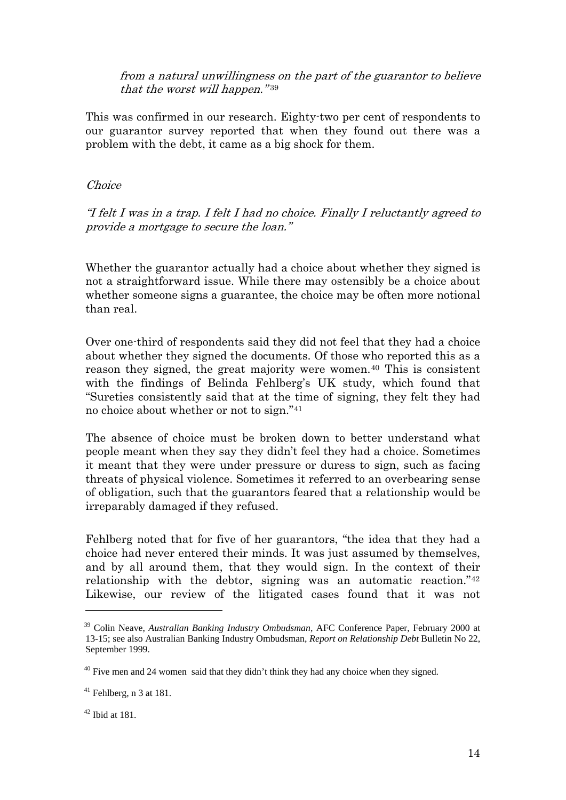from a natural unwillingness on the part of the guarantor to believe that the worst will happen." $39$ 

This was confirmed in our research. Eighty-two per cent of respondents to our guarantor survey reported that when they found out there was a problem with the debt, it came as a big shock for them.

## Choice

"I felt I was in a trap. I felt I had no choice. Finally I reluctantly agreed to provide a mortgage to secure the loan."

Whether the guarantor actually had a choice about whether they signed is not a straightforward issue. While there may ostensibly be a choice about whether someone signs a guarantee, the choice may be often more notional than real.

Over one-third of respondents said they did not feel that they had a choice about whether they signed the documents. Of those who reported this as a reason they signed, the great majority were women.[40](#page-13-1) This is consistent with the findings of Belinda Fehlberg's UK study, which found that "Sureties consistently said that at the time of signing, they felt they had no choice about whether or not to sign.["41](#page-13-2)

The absence of choice must be broken down to better understand what people meant when they say they didn't feel they had a choice. Sometimes it meant that they were under pressure or duress to sign, such as facing threats of physical violence. Sometimes it referred to an overbearing sense of obligation, such that the guarantors feared that a relationship would be irreparably damaged if they refused.

Fehlberg noted that for five of her guarantors, "the idea that they had a choice had never entered their minds. It was just assumed by themselves, and by all around them, that they would sign. In the context of their relationship with the debtor, signing was an automatic reaction."[42](#page-13-3) Likewise, our review of the litigated cases found that it was not

<span id="page-13-0"></span><sup>39</sup> Colin Neave, *Australian Banking Industry Ombudsman*, AFC Conference Paper, February 2000 at 13-15; see also Australian Banking Industry Ombudsman, *Report on Relationship Debt* Bulletin No 22, September 1999.

<span id="page-13-1"></span><sup>&</sup>lt;sup>40</sup> Five men and 24 women said that they didn't think they had any choice when they signed.

<span id="page-13-2"></span> $41$  Fehlberg, n 3 at 181.

<span id="page-13-3"></span> $42$  Ibid at 181.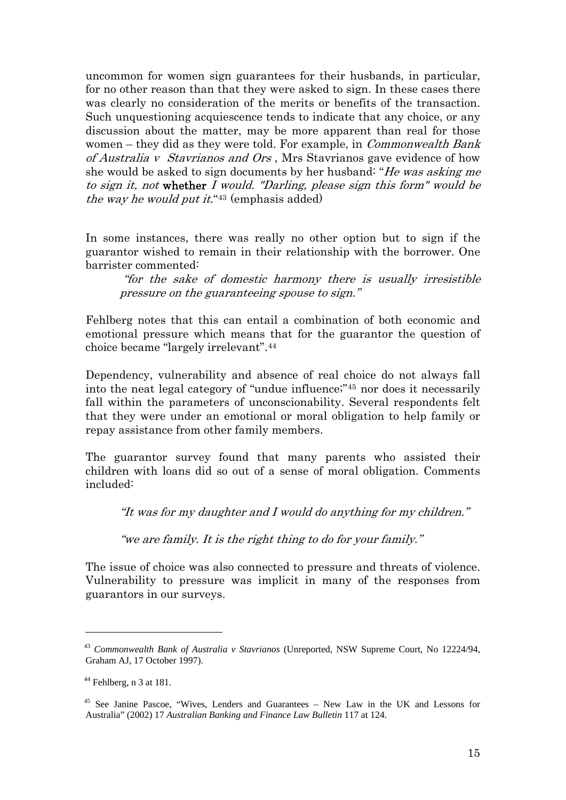uncommon for women sign guarantees for their husbands, in particular, for no other reason than that they were asked to sign. In these cases there was clearly no consideration of the merits or benefits of the transaction. Such unquestioning acquiescence tends to indicate that any choice, or any discussion about the matter, may be more apparent than real for those women – they did as they were told. For example, in *Commonwealth Bank* of Australia v Stavrianos and Ors , Mrs Stavrianos gave evidence of how she would be asked to sign documents by her husband: "He was asking me to sign it, not whether I would. "Darling, please sign this form" would be the way he would put it. "[43](#page-14-0) (emphasis added)

In some instances, there was really no other option but to sign if the guarantor wished to remain in their relationship with the borrower. One barrister commented:

 "for the sake of domestic harmony there is usually irresistible pressure on the guaranteeing spouse to sign."

Fehlberg notes that this can entail a combination of both economic and emotional pressure which means that for the guarantor the question of choice became "largely irrelevant".[44](#page-14-1)

Dependency, vulnerability and absence of real choice do not always fall into the neat legal category of "undue influence;"[45](#page-14-2) nor does it necessarily fall within the parameters of unconscionability. Several respondents felt that they were under an emotional or moral obligation to help family or repay assistance from other family members.

The guarantor survey found that many parents who assisted their children with loans did so out of a sense of moral obligation. Comments included:

"It was for my daughter and I would do anything for my children."

"we are family. It is the right thing to do for your family."

The issue of choice was also connected to pressure and threats of violence. Vulnerability to pressure was implicit in many of the responses from guarantors in our surveys.

<span id="page-14-0"></span><sup>43</sup> *Commonwealth Bank of Australia v Stavrianos* (Unreported, NSW Supreme Court, No 12224/94, Graham AJ, 17 October 1997).

<span id="page-14-1"></span> $44$  Fehlberg, n 3 at 181.

<span id="page-14-2"></span><sup>45</sup> See Janine Pascoe, "Wives, Lenders and Guarantees – New Law in the UK and Lessons for Australia" (2002) 17 *Australian Banking and Finance Law Bulletin* 117 at 124.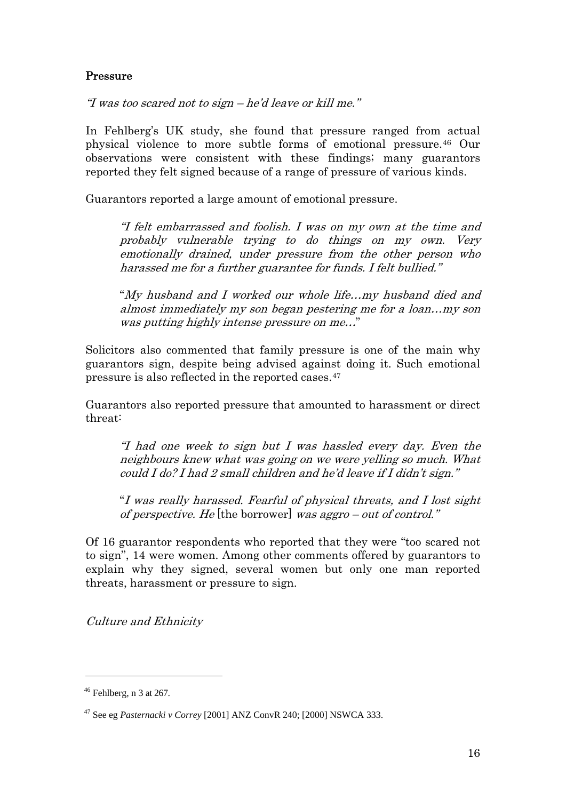## Pressure

"I was too scared not to sign – he'd leave or kill me."

In Fehlberg's UK study, she found that pressure ranged from actual physical violence to more subtle forms of emotional pressure.[46](#page-15-0) Our observations were consistent with these findings; many guarantors reported they felt signed because of a range of pressure of various kinds.

Guarantors reported a large amount of emotional pressure.

"I felt embarrassed and foolish. I was on my own at the time and probably vulnerable trying to do things on my own. Very emotionally drained, under pressure from the other person who harassed me for a further guarantee for funds. I felt bullied."

"My husband and I worked our whole life…my husband died and almost immediately my son began pestering me for a loan…my son was putting highly intense pressure on me…"

Solicitors also commented that family pressure is one of the main why guarantors sign, despite being advised against doing it. Such emotional pressure is also reflected in the reported cases.[47](#page-15-1)

Guarantors also reported pressure that amounted to harassment or direct threat:

"I had one week to sign but I was hassled every day. Even the neighbours knew what was going on we were yelling so much. What could I do? I had 2 small children and he'd leave if I didn't sign."

"I was really harassed. Fearful of physical threats, and I lost sight of perspective. He [the borrower] was aggro – out of control."

Of 16 guarantor respondents who reported that they were "too scared not to sign", 14 were women. Among other comments offered by guarantors to explain why they signed, several women but only one man reported threats, harassment or pressure to sign.

Culture and Ethnicity

<span id="page-15-0"></span> $46$  Fehlberg, n 3 at 267.

<span id="page-15-1"></span><sup>47</sup> See eg *Pasternacki v Correy* [2001] ANZ ConvR 240; [2000] NSWCA 333.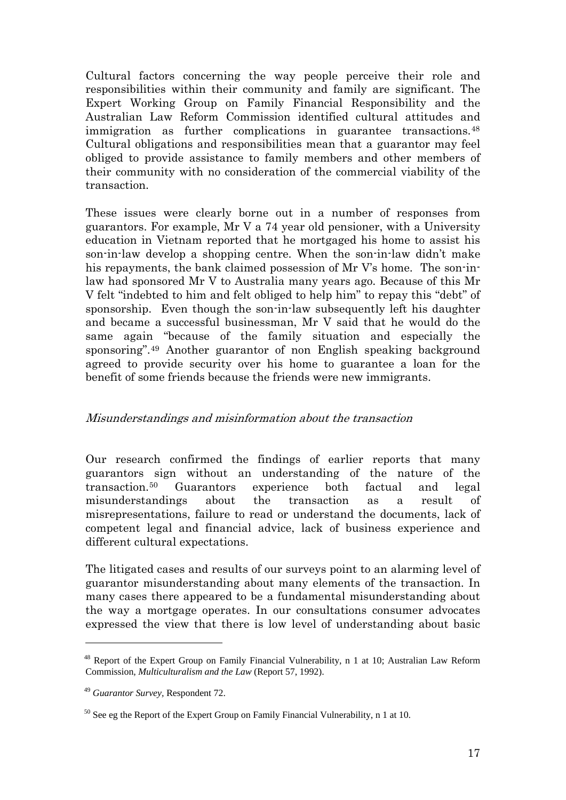Cultural factors concerning the way people perceive their role and responsibilities within their community and family are significant. The Expert Working Group on Family Financial Responsibility and the Australian Law Reform Commission identified cultural attitudes and immigration as further complications in guarantee transactions.<sup>[48](#page-16-0)</sup> Cultural obligations and responsibilities mean that a guarantor may feel obliged to provide assistance to family members and other members of their community with no consideration of the commercial viability of the transaction.

These issues were clearly borne out in a number of responses from guarantors. For example, Mr V a 74 year old pensioner, with a University education in Vietnam reported that he mortgaged his home to assist his son-in-law develop a shopping centre. When the son-in-law didn't make his repayments, the bank claimed possession of Mr V's home. The son-inlaw had sponsored Mr V to Australia many years ago. Because of this Mr V felt "indebted to him and felt obliged to help him" to repay this "debt" of sponsorship. Even though the son-in-law subsequently left his daughter and became a successful businessman, Mr V said that he would do the same again "because of the family situation and especially the sponsoring".[49](#page-16-1) Another guarantor of non English speaking background agreed to provide security over his home to guarantee a loan for the benefit of some friends because the friends were new immigrants.

## Misunderstandings and misinformation about the transaction

Our research confirmed the findings of earlier reports that many guarantors sign without an understanding of the nature of the transaction.[50](#page-16-2) Guarantors experience both factual and legal misunderstandings about the transaction as a result of misrepresentations, failure to read or understand the documents, lack of competent legal and financial advice, lack of business experience and different cultural expectations.

The litigated cases and results of our surveys point to an alarming level of guarantor misunderstanding about many elements of the transaction. In many cases there appeared to be a fundamental misunderstanding about the way a mortgage operates. In our consultations consumer advocates expressed the view that there is low level of understanding about basic

<span id="page-16-0"></span><sup>48</sup> Report of the Expert Group on Family Financial Vulnerability, n 1 at 10; Australian Law Reform Commission*, Multiculturalism and the Law* (Report 57, 1992).

<span id="page-16-1"></span><sup>49</sup> *Guarantor Survey,* Respondent 72.

<span id="page-16-2"></span> $50$  See eg the Report of the Expert Group on Family Financial Vulnerability, n 1 at 10.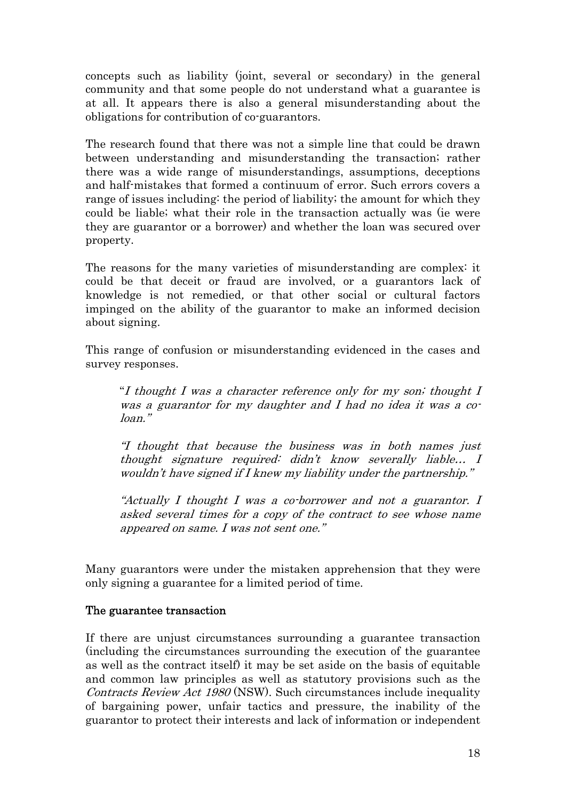concepts such as liability (joint, several or secondary) in the general community and that some people do not understand what a guarantee is at all. It appears there is also a general misunderstanding about the obligations for contribution of co-guarantors.

The research found that there was not a simple line that could be drawn between understanding and misunderstanding the transaction; rather there was a wide range of misunderstandings, assumptions, deceptions and half-mistakes that formed a continuum of error. Such errors covers a range of issues including: the period of liability; the amount for which they could be liable; what their role in the transaction actually was (ie were they are guarantor or a borrower) and whether the loan was secured over property.

The reasons for the many varieties of misunderstanding are complex: it could be that deceit or fraud are involved, or a guarantors lack of knowledge is not remedied, or that other social or cultural factors impinged on the ability of the guarantor to make an informed decision about signing.

This range of confusion or misunderstanding evidenced in the cases and survey responses.

"I thought I was a character reference only for my son; thought I was a guarantor for my daughter and I had no idea it was a coloan."

"I thought that because the business was in both names just thought signature required: didn't know severally liable… I wouldn't have signed if I knew my liability under the partnership."

"Actually I thought I was a co-borrower and not a guarantor. I asked several times for a copy of the contract to see whose name appeared on same. I was not sent one."

Many guarantors were under the mistaken apprehension that they were only signing a guarantee for a limited period of time.

## The guarantee transaction

If there are unjust circumstances surrounding a guarantee transaction (including the circumstances surrounding the execution of the guarantee as well as the contract itself) it may be set aside on the basis of equitable and common law principles as well as statutory provisions such as the Contracts Review Act 1980 (NSW). Such circumstances include inequality of bargaining power, unfair tactics and pressure, the inability of the guarantor to protect their interests and lack of information or independent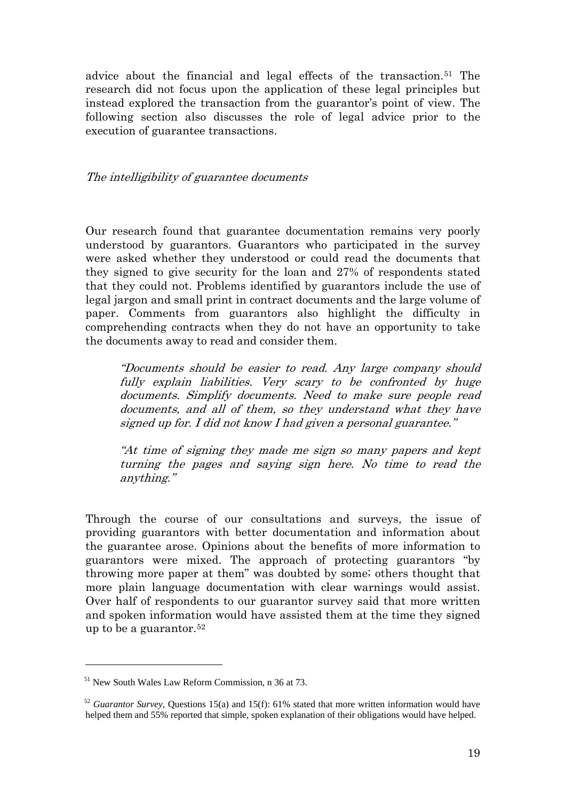advice about the financial and legal effects of the transaction.[51](#page-18-0) The research did not focus upon the application of these legal principles but instead explored the transaction from the guarantor's point of view. The following section also discusses the role of legal advice prior to the execution of guarantee transactions.

#### The intelligibility of guarantee documents

Our research found that guarantee documentation remains very poorly understood by guarantors. Guarantors who participated in the survey were asked whether they understood or could read the documents that they signed to give security for the loan and 27% of respondents stated that they could not. Problems identified by guarantors include the use of legal jargon and small print in contract documents and the large volume of paper. Comments from guarantors also highlight the difficulty in comprehending contracts when they do not have an opportunity to take the documents away to read and consider them.

"Documents should be easier to read. Any large company should fully explain liabilities. Very scary to be confronted by huge documents. Simplify documents. Need to make sure people read documents, and all of them, so they understand what they have signed up for. I did not know I had given a personal guarantee."

"At time of signing they made me sign so many papers and kept turning the pages and saying sign here. No time to read the anything."

Through the course of our consultations and surveys, the issue of providing guarantors with better documentation and information about the guarantee arose. Opinions about the benefits of more information to guarantors were mixed. The approach of protecting guarantors "by throwing more paper at them" was doubted by some; others thought that more plain language documentation with clear warnings would assist. Over half of respondents to our guarantor survey said that more written and spoken information would have assisted them at the time they signed up to be a guarantor.[52](#page-18-1)

<span id="page-18-0"></span><sup>51</sup> New South Wales Law Reform Commission, n 36 at 73.

<span id="page-18-1"></span><sup>&</sup>lt;sup>52</sup> *Guarantor Survey*, Questions 15(a) and 15(f): 61% stated that more written information would have helped them and 55% reported that simple, spoken explanation of their obligations would have helped.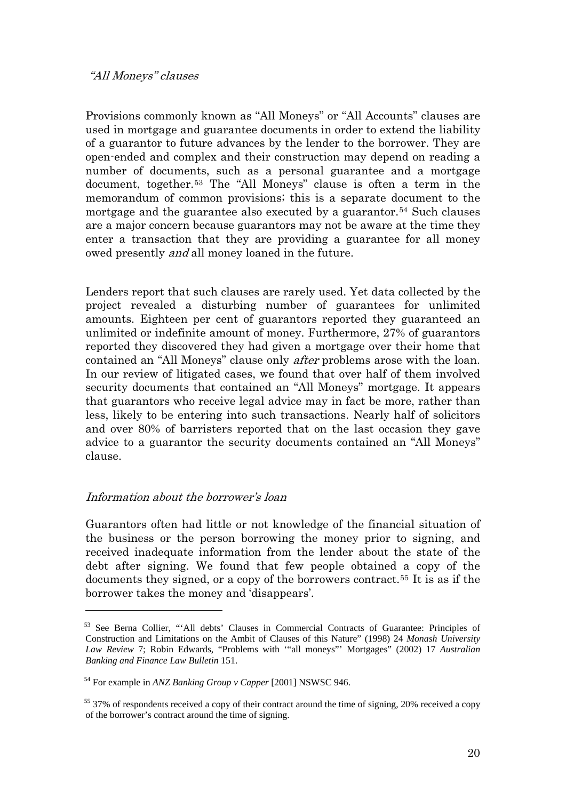#### "All Moneys" clauses

Provisions commonly known as "All Moneys" or "All Accounts" clauses are used in mortgage and guarantee documents in order to extend the liability of a guarantor to future advances by the lender to the borrower. They are open-ended and complex and their construction may depend on reading a number of documents, such as a personal guarantee and a mortgage document, together.[53](#page-19-0) The "All Moneys" clause is often a term in the memorandum of common provisions; this is a separate document to the mortgage and the guarantee also executed by a guarantor.<sup>[54](#page-19-1)</sup> Such clauses are a major concern because guarantors may not be aware at the time they enter a transaction that they are providing a guarantee for all money owed presently and all money loaned in the future.

Lenders report that such clauses are rarely used. Yet data collected by the project revealed a disturbing number of guarantees for unlimited amounts. Eighteen per cent of guarantors reported they guaranteed an unlimited or indefinite amount of money. Furthermore, 27% of guarantors reported they discovered they had given a mortgage over their home that contained an "All Moneys" clause only after problems arose with the loan. In our review of litigated cases, we found that over half of them involved security documents that contained an "All Moneys" mortgage. It appears that guarantors who receive legal advice may in fact be more, rather than less, likely to be entering into such transactions. Nearly half of solicitors and over 80% of barristers reported that on the last occasion they gave advice to a guarantor the security documents contained an "All Moneys" clause.

## Information about the borrower's loan

1

Guarantors often had little or not knowledge of the financial situation of the business or the person borrowing the money prior to signing, and received inadequate information from the lender about the state of the debt after signing. We found that few people obtained a copy of the documents they signed, or a copy of the borrowers contract.[55](#page-19-2) It is as if the borrower takes the money and 'disappears'.

<span id="page-19-0"></span><sup>53</sup> See Berna Collier, "'All debts' Clauses in Commercial Contracts of Guarantee: Principles of Construction and Limitations on the Ambit of Clauses of this Nature" (1998) 24 *Monash University Law Review* 7; Robin Edwards, "Problems with '"all moneys"' Mortgages" (2002) 17 *Australian Banking and Finance Law Bulletin* 151.

<span id="page-19-1"></span><sup>54</sup> For example in *ANZ Banking Group v Capper* [2001] NSWSC 946.

<span id="page-19-2"></span><sup>55 37%</sup> of respondents received a copy of their contract around the time of signing, 20% received a copy of the borrower's contract around the time of signing.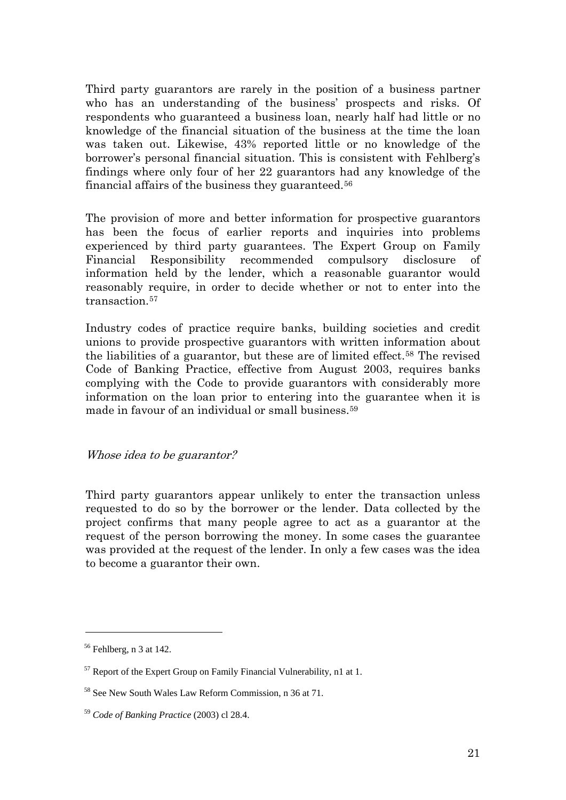Third party guarantors are rarely in the position of a business partner who has an understanding of the business' prospects and risks. Of respondents who guaranteed a business loan, nearly half had little or no knowledge of the financial situation of the business at the time the loan was taken out. Likewise, 43% reported little or no knowledge of the borrower's personal financial situation. This is consistent with Fehlberg's findings where only four of her 22 guarantors had any knowledge of the financial affairs of the business they guaranteed.[56](#page-20-0)

The provision of more and better information for prospective guarantors has been the focus of earlier reports and inquiries into problems experienced by third party guarantees. The Expert Group on Family Financial Responsibility recommended compulsory disclosure of information held by the lender, which a reasonable guarantor would reasonably require, in order to decide whether or not to enter into the transaction.<sup>[57](#page-20-1)</sup>

Industry codes of practice require banks, building societies and credit unions to provide prospective guarantors with written information about the liabilities of a guarantor, but these are of limited effect[.58](#page-20-2) The revised Code of Banking Practice, effective from August 2003, requires banks complying with the Code to provide guarantors with considerably more information on the loan prior to entering into the guarantee when it is made in favour of an individual or small business.[59](#page-20-3)

Whose idea to be guarantor?

Third party guarantors appear unlikely to enter the transaction unless requested to do so by the borrower or the lender. Data collected by the project confirms that many people agree to act as a guarantor at the request of the person borrowing the money. In some cases the guarantee was provided at the request of the lender. In only a few cases was the idea to become a guarantor their own.

<span id="page-20-0"></span> $56$  Fehlberg, n 3 at 142.

<span id="page-20-1"></span><sup>&</sup>lt;sup>57</sup> Report of the Expert Group on Family Financial Vulnerability, n1 at 1.

<span id="page-20-2"></span><sup>58</sup> See New South Wales Law Reform Commission, n 36 at 71.

<span id="page-20-3"></span><sup>59</sup> *Code of Banking Practice* (2003) cl 28.4.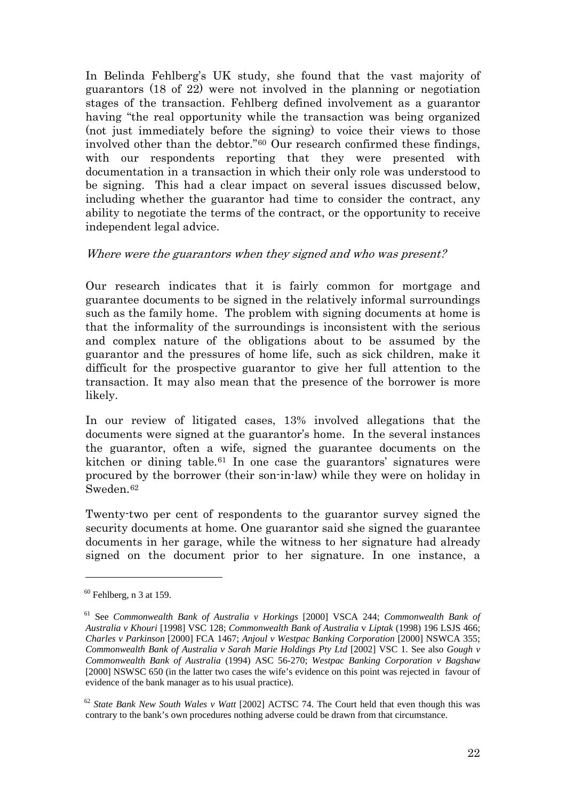In Belinda Fehlberg's UK study, she found that the vast majority of guarantors (18 of 22) were not involved in the planning or negotiation stages of the transaction. Fehlberg defined involvement as a guarantor having "the real opportunity while the transaction was being organized (not just immediately before the signing) to voice their views to those involved other than the debtor."[60](#page-21-0) Our research confirmed these findings, with our respondents reporting that they were presented with documentation in a transaction in which their only role was understood to be signing. This had a clear impact on several issues discussed below, including whether the guarantor had time to consider the contract, any ability to negotiate the terms of the contract, or the opportunity to receive independent legal advice.

## Where were the guarantors when they signed and who was present?

Our research indicates that it is fairly common for mortgage and guarantee documents to be signed in the relatively informal surroundings such as the family home. The problem with signing documents at home is that the informality of the surroundings is inconsistent with the serious and complex nature of the obligations about to be assumed by the guarantor and the pressures of home life, such as sick children, make it difficult for the prospective guarantor to give her full attention to the transaction. It may also mean that the presence of the borrower is more likely.

In our review of litigated cases, 13% involved allegations that the documents were signed at the guarantor's home. In the several instances the guarantor, often a wife, signed the guarantee documents on the kitchen or dining table.<sup>[61](#page-21-1)</sup> In one case the guarantors' signatures were procured by the borrower (their son-in-law) while they were on holiday in Sweden<sup>[62](#page-21-2)</sup>

Twenty-two per cent of respondents to the guarantor survey signed the security documents at home. One guarantor said she signed the guarantee documents in her garage, while the witness to her signature had already signed on the document prior to her signature. In one instance, a

<span id="page-21-0"></span> $60$  Fehlberg, n 3 at 159.

<span id="page-21-1"></span><sup>61</sup> See *Commonwealth Bank of Australia v Horkings* [2000] VSCA 244; *Commonwealth Bank of Australia v Khouri* [1998] VSC 128; *Commonwealth Bank of Australia* v *Liptak* (1998) 196 LSJS 466; *Charles v Parkinson* [2000] FCA 1467; *Anjoul v Westpac Banking Corporation* [2000] NSWCA 355; *Commonwealth Bank of Australia v Sarah Marie Holdings Pty Ltd* [2002] VSC 1. See also *Gough v Commonwealth Bank of Australia* (1994) ASC 56-270; *Westpac Banking Corporation v Bagshaw* [2000] NSWSC 650 (in the latter two cases the wife's evidence on this point was rejected in favour of evidence of the bank manager as to his usual practice).

<span id="page-21-2"></span><sup>62</sup> *State Bank New South Wales v Watt* [2002] ACTSC 74. The Court held that even though this was contrary to the bank's own procedures nothing adverse could be drawn from that circumstance.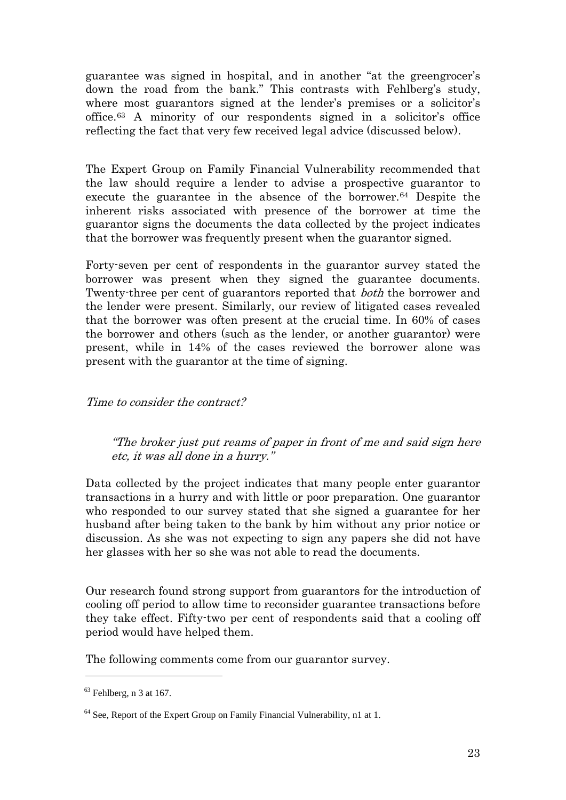guarantee was signed in hospital, and in another "at the greengrocer's down the road from the bank." This contrasts with Fehlberg's study, where most guarantors signed at the lender's premises or a solicitor's office.[63](#page-22-0) A minority of our respondents signed in a solicitor's office reflecting the fact that very few received legal advice (discussed below).

The Expert Group on Family Financial Vulnerability recommended that the law should require a lender to advise a prospective guarantor to execute the guarantee in the absence of the borrower.[64](#page-22-1) Despite the inherent risks associated with presence of the borrower at time the guarantor signs the documents the data collected by the project indicates that the borrower was frequently present when the guarantor signed.

Forty-seven per cent of respondents in the guarantor survey stated the borrower was present when they signed the guarantee documents. Twenty-three per cent of guarantors reported that both the borrower and the lender were present. Similarly, our review of litigated cases revealed that the borrower was often present at the crucial time. In 60% of cases the borrower and others (such as the lender, or another guarantor) were present, while in 14% of the cases reviewed the borrower alone was present with the guarantor at the time of signing.

Time to consider the contract?

"The broker just put reams of paper in front of me and said sign here etc, it was all done in a hurry."

Data collected by the project indicates that many people enter guarantor transactions in a hurry and with little or poor preparation. One guarantor who responded to our survey stated that she signed a guarantee for her husband after being taken to the bank by him without any prior notice or discussion. As she was not expecting to sign any papers she did not have her glasses with her so she was not able to read the documents.

Our research found strong support from guarantors for the introduction of cooling off period to allow time to reconsider guarantee transactions before they take effect. Fifty-two per cent of respondents said that a cooling off period would have helped them.

The following comments come from our guarantor survey.

<span id="page-22-0"></span> $63$  Fehlberg, n 3 at 167.

<span id="page-22-1"></span> $64$  See, Report of the Expert Group on Family Financial Vulnerability, n1 at 1.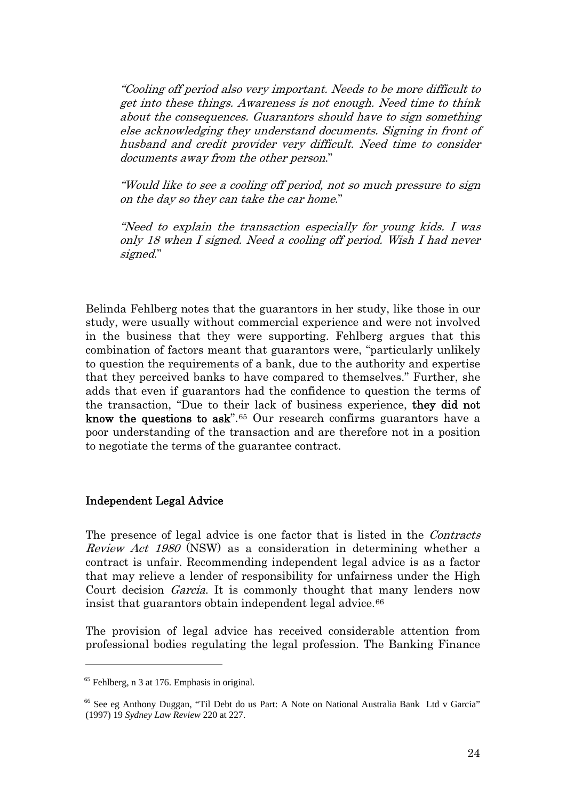"Cooling off period also very important. Needs to be more difficult to get into these things. Awareness is not enough. Need time to think about the consequences. Guarantors should have to sign something else acknowledging they understand documents. Signing in front of husband and credit provider very difficult. Need time to consider documents away from the other person."

"Would like to see a cooling off period, not so much pressure to sign on the day so they can take the car home."

"Need to explain the transaction especially for young kids. I was only 18 when I signed. Need a cooling off period. Wish I had never signed."

Belinda Fehlberg notes that the guarantors in her study, like those in our study, were usually without commercial experience and were not involved in the business that they were supporting. Fehlberg argues that this combination of factors meant that guarantors were, "particularly unlikely to question the requirements of a bank, due to the authority and expertise that they perceived banks to have compared to themselves." Further, she adds that even if guarantors had the confidence to question the terms of the transaction, "Due to their lack of business experience, they did not know the questions to ask".<sup>[65](#page-23-0)</sup> Our research confirms guarantors have a poor understanding of the transaction and are therefore not in a position to negotiate the terms of the guarantee contract.

#### Independent Legal Advice

The presence of legal advice is one factor that is listed in the *Contracts* Review Act 1980 (NSW) as a consideration in determining whether a contract is unfair. Recommending independent legal advice is as a factor that may relieve a lender of responsibility for unfairness under the High Court decision Garcia. It is commonly thought that many lenders now insist that guarantors obtain independent legal advice.<sup>[66](#page-23-1)</sup>

The provision of legal advice has received considerable attention from professional bodies regulating the legal profession. The Banking Finance

<span id="page-23-0"></span> $<sup>65</sup>$  Fehlberg, n 3 at 176. Emphasis in original.</sup>

<span id="page-23-1"></span><sup>66</sup> See eg Anthony Duggan, "Til Debt do us Part: A Note on National Australia Bank Ltd v Garcia" (1997) 19 *Sydney Law Review* 220 at 227.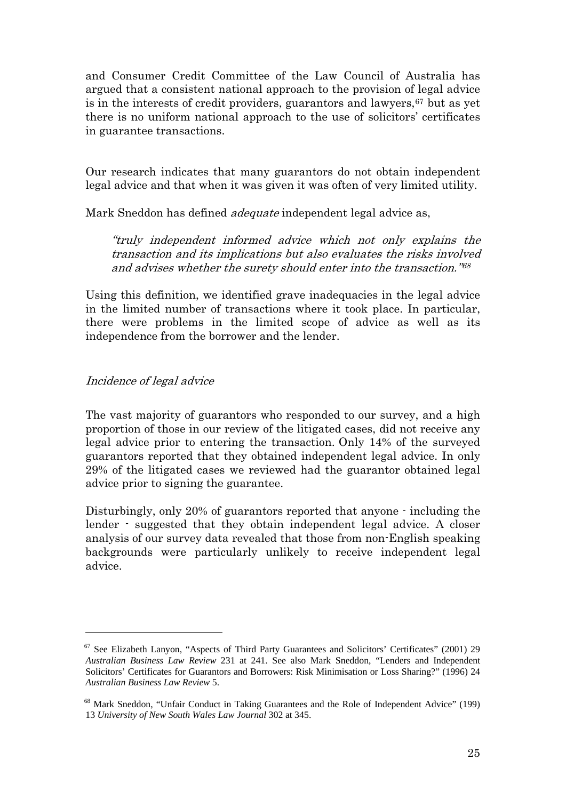and Consumer Credit Committee of the Law Council of Australia has argued that a consistent national approach to the provision of legal advice is in the interests of credit providers, guarantors and lawyers, <sup>[67](#page-24-0)</sup> but as yet there is no uniform national approach to the use of solicitors' certificates in guarantee transactions.

Our research indicates that many guarantors do not obtain independent legal advice and that when it was given it was often of very limited utility.

Mark Sneddon has defined *adequate* independent legal advice as,

"truly independent informed advice which not only explains the transaction and its implications but also evaluates the risks involved and advises whether the surety should enter into the transaction."[68](#page-24-1)

Using this definition, we identified grave inadequacies in the legal advice in the limited number of transactions where it took place. In particular, there were problems in the limited scope of advice as well as its independence from the borrower and the lender.

## Incidence of legal advice

 $\overline{a}$ 

The vast majority of guarantors who responded to our survey, and a high proportion of those in our review of the litigated cases, did not receive any legal advice prior to entering the transaction. Only 14% of the surveyed guarantors reported that they obtained independent legal advice. In only 29% of the litigated cases we reviewed had the guarantor obtained legal advice prior to signing the guarantee.

Disturbingly, only 20% of guarantors reported that anyone - including the lender - suggested that they obtain independent legal advice. A closer analysis of our survey data revealed that those from non-English speaking backgrounds were particularly unlikely to receive independent legal advice.

<span id="page-24-0"></span><sup>&</sup>lt;sup>67</sup> See Elizabeth Lanyon, "Aspects of Third Party Guarantees and Solicitors' Certificates" (2001) 29 *Australian Business Law Review* 231 at 241. See also Mark Sneddon, "Lenders and Independent Solicitors' Certificates for Guarantors and Borrowers: Risk Minimisation or Loss Sharing?" (1996) 24 *Australian Business Law Review* 5.

<span id="page-24-1"></span><sup>68</sup> Mark Sneddon, "Unfair Conduct in Taking Guarantees and the Role of Independent Advice" (199) 13 *University of New South Wales Law Journal* 302 at 345.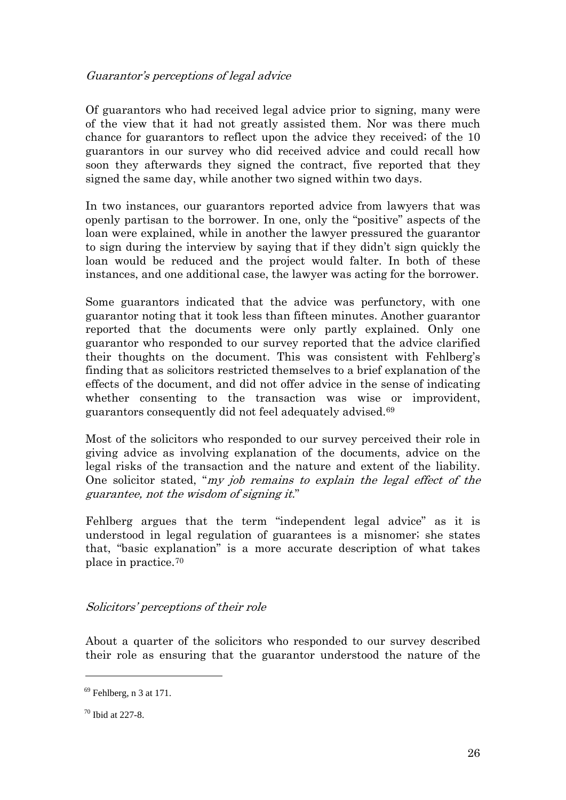## Guarantor's perceptions of legal advice

Of guarantors who had received legal advice prior to signing, many were of the view that it had not greatly assisted them. Nor was there much chance for guarantors to reflect upon the advice they received; of the 10 guarantors in our survey who did received advice and could recall how soon they afterwards they signed the contract, five reported that they signed the same day, while another two signed within two days.

In two instances, our guarantors reported advice from lawyers that was openly partisan to the borrower. In one, only the "positive" aspects of the loan were explained, while in another the lawyer pressured the guarantor to sign during the interview by saying that if they didn't sign quickly the loan would be reduced and the project would falter. In both of these instances, and one additional case, the lawyer was acting for the borrower.

Some guarantors indicated that the advice was perfunctory, with one guarantor noting that it took less than fifteen minutes. Another guarantor reported that the documents were only partly explained. Only one guarantor who responded to our survey reported that the advice clarified their thoughts on the document. This was consistent with Fehlberg's finding that as solicitors restricted themselves to a brief explanation of the effects of the document, and did not offer advice in the sense of indicating whether consenting to the transaction was wise or improvident, guarantors consequently did not feel adequately advised[.69](#page-25-0)

Most of the solicitors who responded to our survey perceived their role in giving advice as involving explanation of the documents, advice on the legal risks of the transaction and the nature and extent of the liability. One solicitor stated, "my job remains to explain the legal effect of the guarantee, not the wisdom of signing it."

Fehlberg argues that the term "independent legal advice" as it is understood in legal regulation of guarantees is a misnomer; she states that, "basic explanation" is a more accurate description of what takes place in practice.[70](#page-25-1)

# Solicitors' perceptions of their role

About a quarter of the solicitors who responded to our survey described their role as ensuring that the guarantor understood the nature of the

<span id="page-25-0"></span> $69$  Fehlberg, n 3 at 171.

<span id="page-25-1"></span> $70$  Ibid at  $227 - 8$ .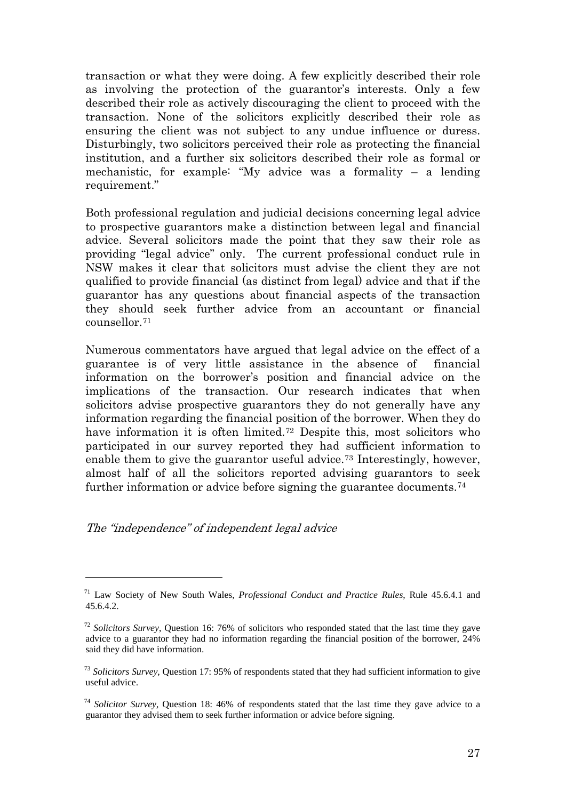transaction or what they were doing. A few explicitly described their role as involving the protection of the guarantor's interests. Only a few described their role as actively discouraging the client to proceed with the transaction. None of the solicitors explicitly described their role as ensuring the client was not subject to any undue influence or duress. Disturbingly, two solicitors perceived their role as protecting the financial institution, and a further six solicitors described their role as formal or mechanistic, for example: "My advice was a formality – a lending requirement."

Both professional regulation and judicial decisions concerning legal advice to prospective guarantors make a distinction between legal and financial advice. Several solicitors made the point that they saw their role as providing "legal advice" only. The current professional conduct rule in NSW makes it clear that solicitors must advise the client they are not qualified to provide financial (as distinct from legal) advice and that if the guarantor has any questions about financial aspects of the transaction they should seek further advice from an accountant or financial counsellor.[71](#page-26-0)

Numerous commentators have argued that legal advice on the effect of a guarantee is of very little assistance in the absence of financial information on the borrower's position and financial advice on the implications of the transaction. Our research indicates that when solicitors advise prospective guarantors they do not generally have any information regarding the financial position of the borrower. When they do have information it is often limited.<sup>[72](#page-26-1)</sup> Despite this, most solicitors who participated in our survey reported they had sufficient information to enable them to give the guarantor useful advice.<sup>[73](#page-26-2)</sup> Interestingly, however, almost half of all the solicitors reported advising guarantors to seek further information or advice before signing the guarantee documents.<sup>[74](#page-26-3)</sup>

The "independence" of independent legal advice

<span id="page-26-0"></span><sup>71</sup> Law Society of New South Wales, *Professional Conduct and Practice Rules*, Rule 45.6.4.1 and 45.6.4.2.

<span id="page-26-1"></span><sup>72</sup> *Solicitors Survey*, Question 16: 76% of solicitors who responded stated that the last time they gave advice to a guarantor they had no information regarding the financial position of the borrower, 24% said they did have information.

<span id="page-26-2"></span><sup>73</sup> *Solicitors Survey*, Question 17: 95% of respondents stated that they had sufficient information to give useful advice.

<span id="page-26-3"></span><sup>74</sup> *Solicitor Survey*, Question 18: 46% of respondents stated that the last time they gave advice to a guarantor they advised them to seek further information or advice before signing.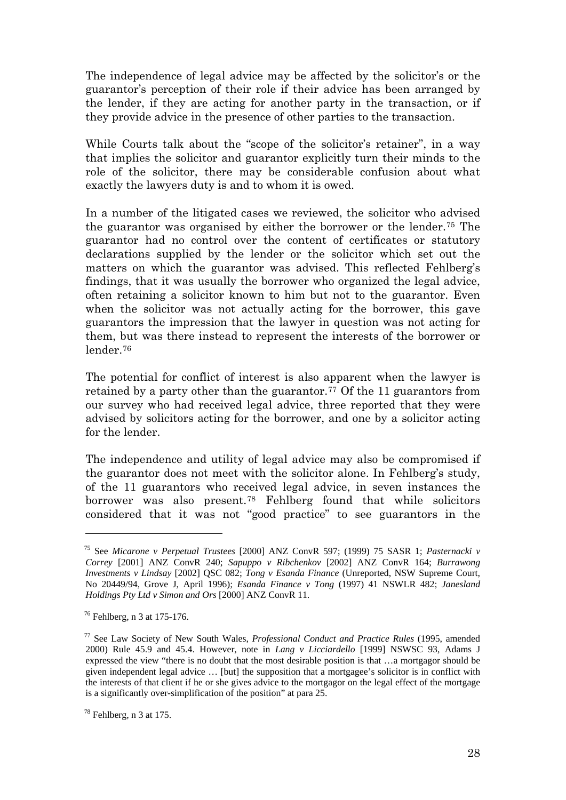The independence of legal advice may be affected by the solicitor's or the guarantor's perception of their role if their advice has been arranged by the lender, if they are acting for another party in the transaction, or if they provide advice in the presence of other parties to the transaction.

While Courts talk about the "scope of the solicitor's retainer", in a way that implies the solicitor and guarantor explicitly turn their minds to the role of the solicitor, there may be considerable confusion about what exactly the lawyers duty is and to whom it is owed.

In a number of the litigated cases we reviewed, the solicitor who advised the guarantor was organised by either the borrower or the lender.[75](#page-27-0) The guarantor had no control over the content of certificates or statutory declarations supplied by the lender or the solicitor which set out the matters on which the guarantor was advised. This reflected Fehlberg's findings, that it was usually the borrower who organized the legal advice, often retaining a solicitor known to him but not to the guarantor. Even when the solicitor was not actually acting for the borrower, this gave guarantors the impression that the lawyer in question was not acting for them, but was there instead to represent the interests of the borrower or lender.[76](#page-27-1)

The potential for conflict of interest is also apparent when the lawyer is retained by a party other than the guarantor.<sup>[77](#page-27-2)</sup> Of the 11 guarantors from our survey who had received legal advice, three reported that they were advised by solicitors acting for the borrower, and one by a solicitor acting for the lender.

The independence and utility of legal advice may also be compromised if the guarantor does not meet with the solicitor alone. In Fehlberg's study, of the 11 guarantors who received legal advice, in seven instances the borrower was also present.[78](#page-27-3) Fehlberg found that while solicitors considered that it was not "good practice" to see guarantors in the

<span id="page-27-0"></span><sup>75</sup> See *Micarone v Perpetual Trustees* [2000] ANZ ConvR 597; (1999) 75 SASR 1; *Pasternacki v Correy* [2001] ANZ ConvR 240; *Sapuppo v Ribchenkov* [2002] ANZ ConvR 164; *Burrawong Investments v Lindsay* [2002] QSC 082; *Tong v Esanda Finance* (Unreported, NSW Supreme Court, No 20449/94, Grove J, April 1996); *Esanda Finance v Tong* (1997) 41 NSWLR 482; *Janesland Holdings Pty Ltd v Simon and Ors* [2000] ANZ ConvR 11.

<span id="page-27-1"></span><sup>76</sup> Fehlberg, n 3 at 175-176.

<span id="page-27-2"></span><sup>77</sup> See Law Society of New South Wales, *Professional Conduct and Practice Rules* (1995, amended 2000) Rule 45.9 and 45.4. However, note in *Lang v Licciardello* [1999] NSWSC 93, Adams J expressed the view "there is no doubt that the most desirable position is that …a mortgagor should be given independent legal advice … [but] the supposition that a mortgagee's solicitor is in conflict with the interests of that client if he or she gives advice to the mortgagor on the legal effect of the mortgage is a significantly over-simplification of the position" at para 25.

<span id="page-27-3"></span> $78$  Fehlberg, n 3 at 175.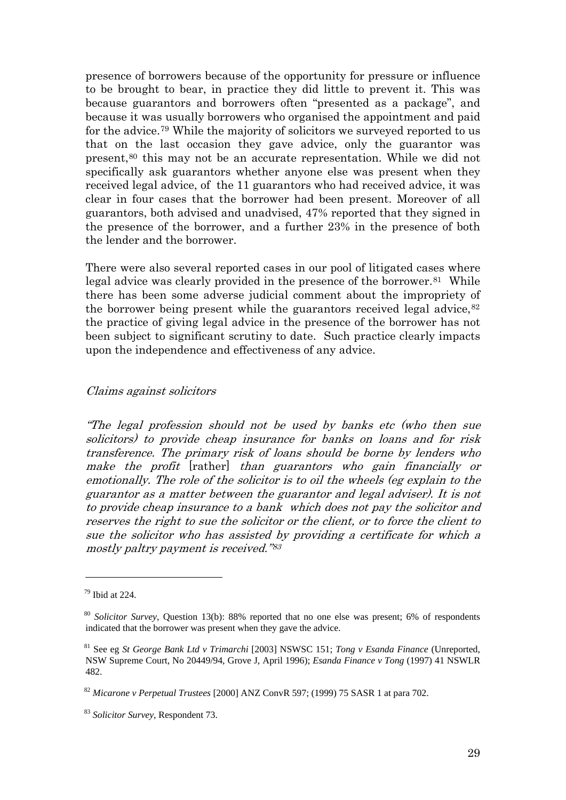presence of borrowers because of the opportunity for pressure or influence to be brought to bear, in practice they did little to prevent it. This was because guarantors and borrowers often "presented as a package", and because it was usually borrowers who organised the appointment and paid for the advice.[79](#page-28-0) While the majority of solicitors we surveyed reported to us that on the last occasion they gave advice, only the guarantor was present,[80](#page-28-1) this may not be an accurate representation. While we did not specifically ask guarantors whether anyone else was present when they received legal advice, of the 11 guarantors who had received advice, it was clear in four cases that the borrower had been present. Moreover of all guarantors, both advised and unadvised, 47% reported that they signed in the presence of the borrower, and a further 23% in the presence of both the lender and the borrower.

There were also several reported cases in our pool of litigated cases where legal advice was clearly provided in the presence of the borrower.<sup>[81](#page-28-2)</sup> While there has been some adverse judicial comment about the impropriety of the borrower being present while the guarantors received legal advice, $82$ the practice of giving legal advice in the presence of the borrower has not been subject to significant scrutiny to date. Such practice clearly impacts upon the independence and effectiveness of any advice.

#### Claims against solicitors

"The legal profession should not be used by banks etc (who then sue solicitors) to provide cheap insurance for banks on loans and for risk transference. The primary risk of loans should be borne by lenders who make the profit [rather] than guarantors who gain financially or emotionally. The role of the solicitor is to oil the wheels (eg explain to the guarantor as a matter between the guarantor and legal adviser). It is not to provide cheap insurance to a bank which does not pay the solicitor and reserves the right to sue the solicitor or the client, or to force the client to sue the solicitor who has assisted by providing a certificate for which a mostly paltry payment is received."[83](#page-28-4)

<span id="page-28-0"></span> $79$  Ibid at 224.

<span id="page-28-1"></span><sup>80</sup> *Solicitor Survey*, Question 13(b): 88% reported that no one else was present; 6% of respondents indicated that the borrower was present when they gave the advice.

<span id="page-28-2"></span><sup>81</sup> See eg *St George Bank Ltd v Trimarchi* [2003] NSWSC 151; *Tong v Esanda Finance* (Unreported, NSW Supreme Court, No 20449/94, Grove J, April 1996); *Esanda Finance v Tong* (1997) 41 NSWLR 482.

<span id="page-28-3"></span><sup>82</sup> *Micarone v Perpetual Trustees* [2000] ANZ ConvR 597; (1999) 75 SASR 1 at para 702.

<span id="page-28-4"></span><sup>83</sup> *Solicitor Survey*, Respondent 73.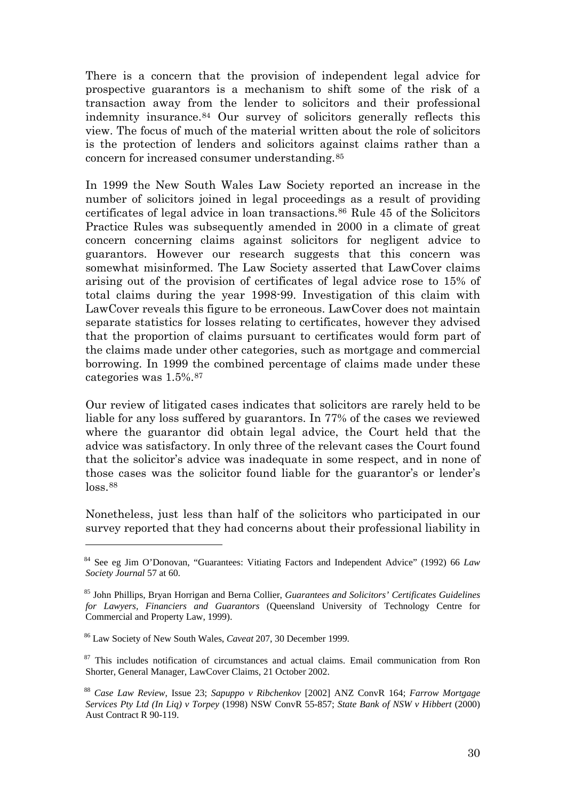There is a concern that the provision of independent legal advice for prospective guarantors is a mechanism to shift some of the risk of a transaction away from the lender to solicitors and their professional indemnity insurance.[84](#page-29-0) Our survey of solicitors generally reflects this view. The focus of much of the material written about the role of solicitors is the protection of lenders and solicitors against claims rather than a concern for increased consumer understanding.[85](#page-29-1)

In 1999 the New South Wales Law Society reported an increase in the number of solicitors joined in legal proceedings as a result of providing certificates of legal advice in loan transactions.[86](#page-29-2) Rule 45 of the Solicitors Practice Rules was subsequently amended in 2000 in a climate of great concern concerning claims against solicitors for negligent advice to guarantors. However our research suggests that this concern was somewhat misinformed. The Law Society asserted that LawCover claims arising out of the provision of certificates of legal advice rose to 15% of total claims during the year 1998-99. Investigation of this claim with LawCover reveals this figure to be erroneous. LawCover does not maintain separate statistics for losses relating to certificates, however they advised that the proportion of claims pursuant to certificates would form part of the claims made under other categories, such as mortgage and commercial borrowing. In 1999 the combined percentage of claims made under these categories was 1.5%.[87](#page-29-3)

Our review of litigated cases indicates that solicitors are rarely held to be liable for any loss suffered by guarantors. In 77% of the cases we reviewed where the guarantor did obtain legal advice, the Court held that the advice was satisfactory. In only three of the relevant cases the Court found that the solicitor's advice was inadequate in some respect, and in none of those cases was the solicitor found liable for the guarantor's or lender's loss.<sup>[88](#page-29-4)</sup>

Nonetheless, just less than half of the solicitors who participated in our survey reported that they had concerns about their professional liability in

<span id="page-29-0"></span><sup>84</sup> See eg Jim O'Donovan, "Guarantees: Vitiating Factors and Independent Advice" (1992) 66 *Law Society Journal* 57 at 60.

<span id="page-29-1"></span><sup>85</sup> John Phillips, Bryan Horrigan and Berna Collier, *Guarantees and Solicitors' Certificates Guidelines for Lawyers, Financiers and Guarantors* (Queensland University of Technology Centre for Commercial and Property Law, 1999).

<span id="page-29-2"></span><sup>86</sup> Law Society of New South Wales, *Caveat* 207, 30 December 1999.

<span id="page-29-3"></span><sup>&</sup>lt;sup>87</sup> This includes notification of circumstances and actual claims. Email communication from Ron Shorter, General Manager, LawCover Claims, 21 October 2002.

<span id="page-29-4"></span><sup>88</sup> *Case Law Review*, Issue 23; *Sapuppo v Ribchenkov* [2002] ANZ ConvR 164; *Farrow Mortgage Services Pty Ltd (In Liq) v Torpey* (1998) NSW ConvR 55-857; *State Bank of NSW v Hibbert* (2000) Aust Contract R 90-119.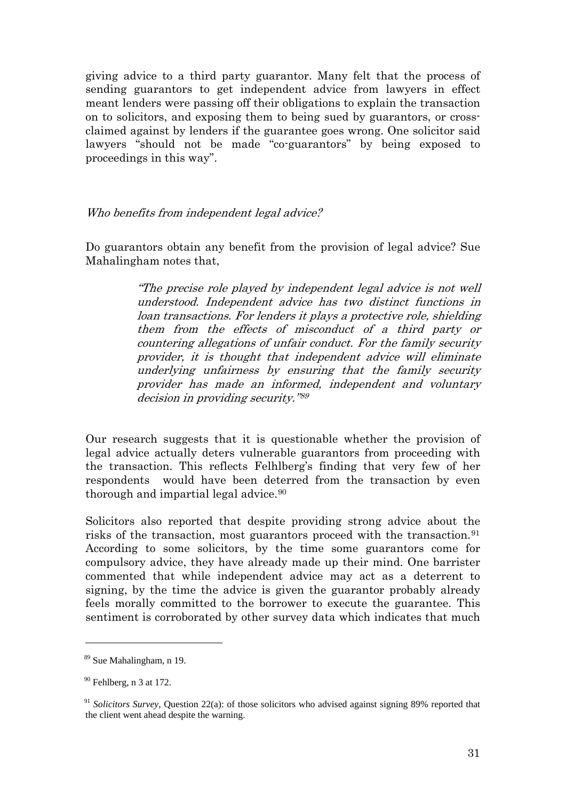giving advice to a third party guarantor. Many felt that the process of sending guarantors to get independent advice from lawyers in effect meant lenders were passing off their obligations to explain the transaction on to solicitors, and exposing them to being sued by guarantors, or crossclaimed against by lenders if the guarantee goes wrong. One solicitor said lawyers "should not be made "co-guarantors" by being exposed to proceedings in this way".

Who benefits from independent legal advice?

Do guarantors obtain any benefit from the provision of legal advice? Sue Mahalingham notes that,

> "The precise role played by independent legal advice is not well understood. Independent advice has two distinct functions in loan transactions. For lenders it plays a protective role, shielding them from the effects of misconduct of a third party or countering allegations of unfair conduct. For the family security provider, it is thought that independent advice will eliminate underlying unfairness by ensuring that the family security provider has made an informed, independent and voluntary decision in providing security."[89](#page-30-0)

Our research suggests that it is questionable whether the provision of legal advice actually deters vulnerable guarantors from proceeding with the transaction. This reflects Felhlberg's finding that very few of her respondents would have been deterred from the transaction by even thorough and impartial legal advice.<sup>90</sup>

Solicitors also reported that despite providing strong advice about the risks of the transaction, most guarantors proceed with the transaction.<sup>[91](#page-30-2)</sup> According to some solicitors, by the time some guarantors come for compulsory advice, they have already made up their mind. One barrister commented that while independent advice may act as a deterrent to signing, by the time the advice is given the guarantor probably already feels morally committed to the borrower to execute the guarantee. This sentiment is corroborated by other survey data which indicates that much

<span id="page-30-0"></span><sup>89</sup> Sue Mahalingham, n 19.

<span id="page-30-1"></span> $90$  Fehlberg, n 3 at 172.

<span id="page-30-2"></span><sup>&</sup>lt;sup>91</sup> Solicitors Survey, Ouestion 22(a): of those solicitors who advised against signing 89% reported that the client went ahead despite the warning.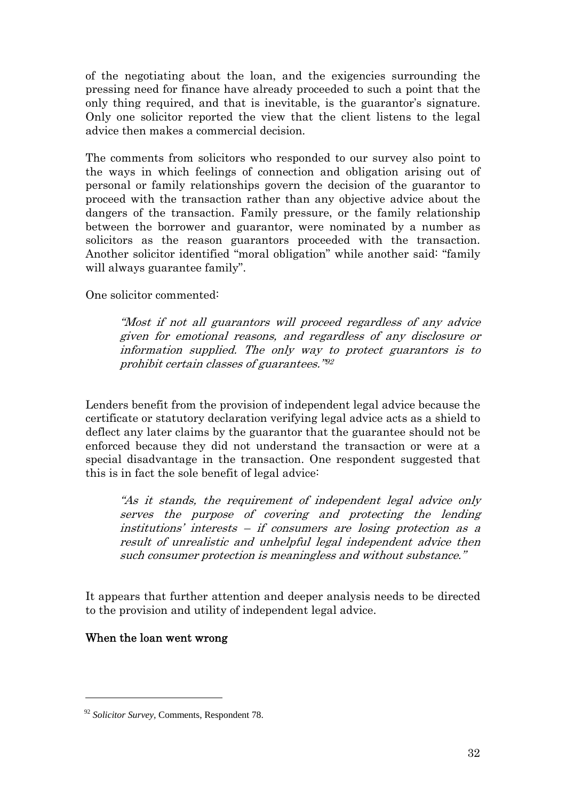of the negotiating about the loan, and the exigencies surrounding the pressing need for finance have already proceeded to such a point that the only thing required, and that is inevitable, is the guarantor's signature. Only one solicitor reported the view that the client listens to the legal advice then makes a commercial decision.

The comments from solicitors who responded to our survey also point to the ways in which feelings of connection and obligation arising out of personal or family relationships govern the decision of the guarantor to proceed with the transaction rather than any objective advice about the dangers of the transaction. Family pressure, or the family relationship between the borrower and guarantor, were nominated by a number as solicitors as the reason guarantors proceeded with the transaction. Another solicitor identified "moral obligation" while another said: "family will always guarantee family".

One solicitor commented:

"Most if not all guarantors will proceed regardless of any advice given for emotional reasons, and regardless of any disclosure or information supplied. The only way to protect guarantors is to prohibit certain classes of guarantees."[92](#page-31-0)

Lenders benefit from the provision of independent legal advice because the certificate or statutory declaration verifying legal advice acts as a shield to deflect any later claims by the guarantor that the guarantee should not be enforced because they did not understand the transaction or were at a special disadvantage in the transaction. One respondent suggested that this is in fact the sole benefit of legal advice:

"As it stands, the requirement of independent legal advice only serves the purpose of covering and protecting the lending institutions' interests – if consumers are losing protection as a result of unrealistic and unhelpful legal independent advice then such consumer protection is meaningless and without substance."

It appears that further attention and deeper analysis needs to be directed to the provision and utility of independent legal advice.

#### When the loan went wrong

<span id="page-31-0"></span><sup>92</sup> *Solicitor Survey,* Comments, Respondent 78.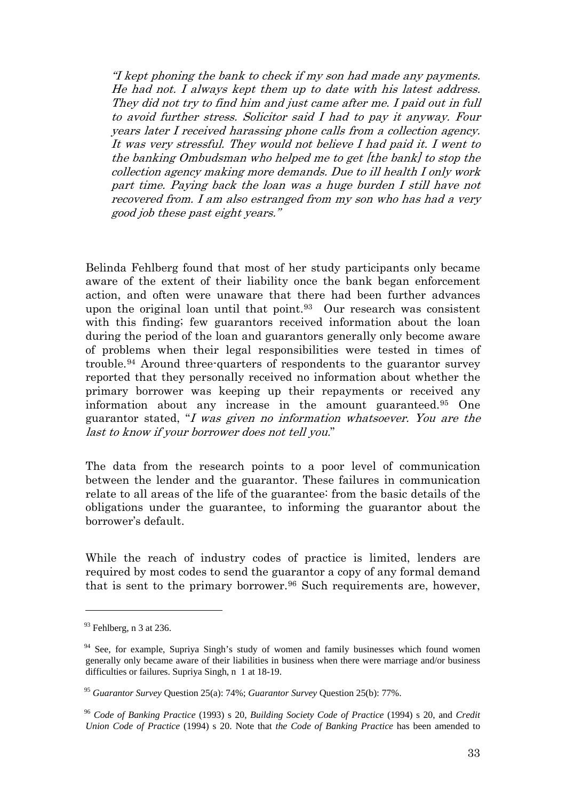"I kept phoning the bank to check if my son had made any payments. He had not. I always kept them up to date with his latest address. They did not try to find him and just came after me. I paid out in full to avoid further stress. Solicitor said I had to pay it anyway. Four years later I received harassing phone calls from a collection agency. It was very stressful. They would not believe I had paid it. I went to the banking Ombudsman who helped me to get [the bank] to stop the collection agency making more demands. Due to ill health I only work part time. Paying back the loan was a huge burden I still have not recovered from. I am also estranged from my son who has had a very good job these past eight years."

Belinda Fehlberg found that most of her study participants only became aware of the extent of their liability once the bank began enforcement action, and often were unaware that there had been further advances upon the original loan until that point.[93](#page-32-0) Our research was consistent with this finding; few guarantors received information about the loan during the period of the loan and guarantors generally only become aware of problems when their legal responsibilities were tested in times of trouble.[94](#page-32-1) Around three-quarters of respondents to the guarantor survey reported that they personally received no information about whether the primary borrower was keeping up their repayments or received any information about any increase in the amount guaranteed.[95](#page-32-2) One guarantor stated, "I was given no information whatsoever. You are the last to know if your borrower does not tell you."

The data from the research points to a poor level of communication between the lender and the guarantor. These failures in communication relate to all areas of the life of the guarantee: from the basic details of the obligations under the guarantee, to informing the guarantor about the borrower's default.

While the reach of industry codes of practice is limited, lenders are required by most codes to send the guarantor a copy of any formal demand that is sent to the primary borrower.<sup>[96](#page-32-3)</sup> Such requirements are, however,

<span id="page-32-0"></span> $93$  Fehlberg, n 3 at 236.

<span id="page-32-1"></span><sup>&</sup>lt;sup>94</sup> See, for example, Supriya Singh's study of women and family businesses which found women generally only became aware of their liabilities in business when there were marriage and/or business difficulties or failures. Supriya Singh, n 1 at 18-19.

<span id="page-32-2"></span><sup>95</sup> *Guarantor Survey* Question 25(a): 74%; *Guarantor Survey* Question 25(b): 77%.

<span id="page-32-3"></span><sup>96</sup> *Code of Banking Practice* (1993) s 20, *Building Society Code of Practice* (1994) s 20, and *Credit Union Code of Practice* (1994) s 20. Note that *the Code of Banking Practice* has been amended to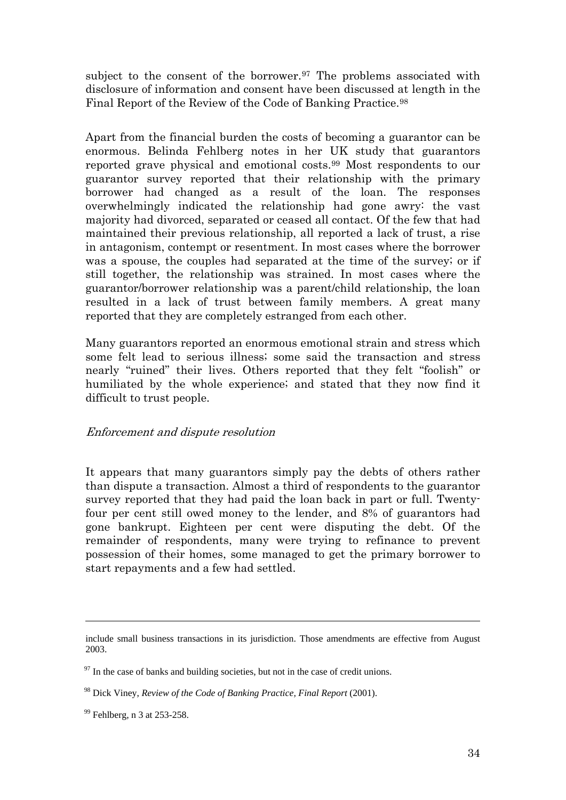subject to the consent of the borrower.<sup>[97](#page-33-0)</sup> The problems associated with disclosure of information and consent have been discussed at length in the Final Report of the Review of the Code of Banking Practice.[98](#page-33-1)

Apart from the financial burden the costs of becoming a guarantor can be enormous. Belinda Fehlberg notes in her UK study that guarantors reported grave physical and emotional costs.[99](#page-33-2) Most respondents to our guarantor survey reported that their relationship with the primary borrower had changed as a result of the loan. The responses overwhelmingly indicated the relationship had gone awry: the vast majority had divorced, separated or ceased all contact. Of the few that had maintained their previous relationship, all reported a lack of trust, a rise in antagonism, contempt or resentment. In most cases where the borrower was a spouse, the couples had separated at the time of the survey; or if still together, the relationship was strained. In most cases where the guarantor/borrower relationship was a parent/child relationship, the loan resulted in a lack of trust between family members. A great many reported that they are completely estranged from each other.

Many guarantors reported an enormous emotional strain and stress which some felt lead to serious illness; some said the transaction and stress nearly "ruined" their lives. Others reported that they felt "foolish" or humiliated by the whole experience; and stated that they now find it difficult to trust people.

## Enforcement and dispute resolution

It appears that many guarantors simply pay the debts of others rather than dispute a transaction. Almost a third of respondents to the guarantor survey reported that they had paid the loan back in part or full. Twentyfour per cent still owed money to the lender, and 8% of guarantors had gone bankrupt. Eighteen per cent were disputing the debt. Of the remainder of respondents, many were trying to refinance to prevent possession of their homes, some managed to get the primary borrower to start repayments and a few had settled.

include small business transactions in its jurisdiction. Those amendments are effective from August 2003.

<span id="page-33-0"></span> $97$  In the case of banks and building societies, but not in the case of credit unions.

<span id="page-33-1"></span><sup>98</sup> Dick Viney, *Review of the Code of Banking Practice, Final Report* (2001).

<span id="page-33-2"></span><sup>99</sup> Fehlberg, n 3 at 253-258.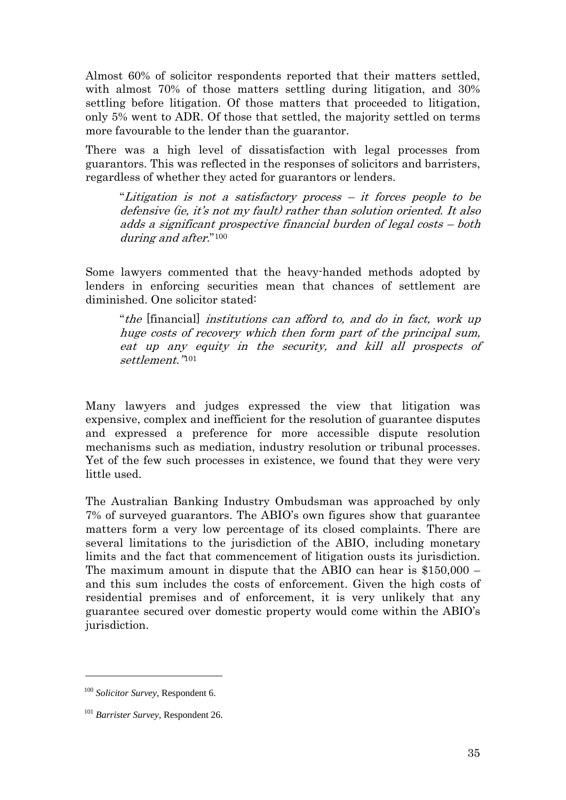Almost 60% of solicitor respondents reported that their matters settled, with almost 70% of those matters settling during litigation, and 30% settling before litigation. Of those matters that proceeded to litigation, only 5% went to ADR. Of those that settled, the majority settled on terms more favourable to the lender than the guarantor.

There was a high level of dissatisfaction with legal processes from guarantors. This was reflected in the responses of solicitors and barristers, regardless of whether they acted for guarantors or lenders.

"Litigation is not a satisfactory process – it forces people to be defensive (ie, it's not my fault) rather than solution oriented. It also adds a significant prospective financial burden of legal costs – both during and after."[100](#page-34-0)

Some lawyers commented that the heavy-handed methods adopted by lenders in enforcing securities mean that chances of settlement are diminished. One solicitor stated:

"the [financial] institutions can afford to, and do in fact, work up huge costs of recovery which then form part of the principal sum, eat up any equity in the security, and kill all prospects of settlement."[101](#page-34-1)

Many lawyers and judges expressed the view that litigation was expensive, complex and inefficient for the resolution of guarantee disputes and expressed a preference for more accessible dispute resolution mechanisms such as mediation, industry resolution or tribunal processes. Yet of the few such processes in existence, we found that they were very little used.

The Australian Banking Industry Ombudsman was approached by only 7% of surveyed guarantors. The ABIO's own figures show that guarantee matters form a very low percentage of its closed complaints. There are several limitations to the jurisdiction of the ABIO, including monetary limits and the fact that commencement of litigation ousts its jurisdiction. The maximum amount in dispute that the ABIO can hear is \$150,000 – and this sum includes the costs of enforcement. Given the high costs of residential premises and of enforcement, it is very unlikely that any guarantee secured over domestic property would come within the ABIO's jurisdiction.

<span id="page-34-0"></span><sup>100</sup> *Solicitor Survey,* Respondent 6.

<span id="page-34-1"></span><sup>101</sup> *Barrister Survey*, Respondent 26.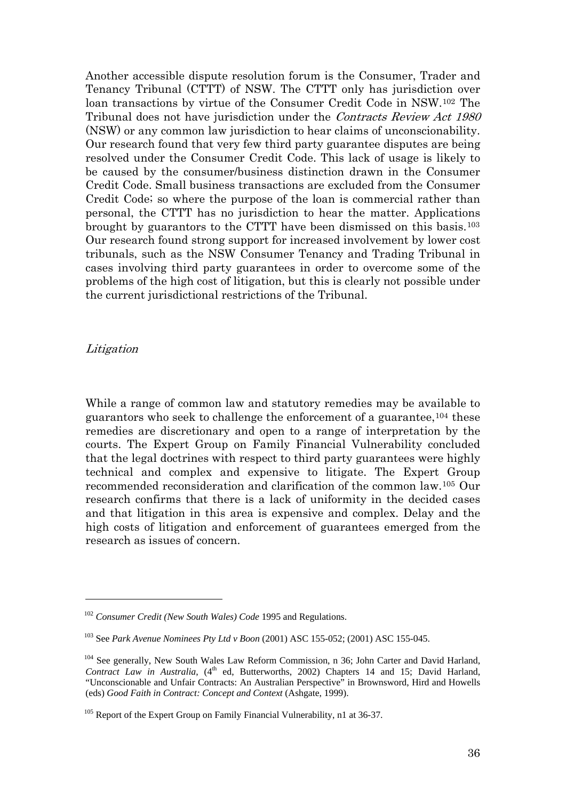Another accessible dispute resolution forum is the Consumer, Trader and Tenancy Tribunal (CTTT) of NSW. The CTTT only has jurisdiction over loan transactions by virtue of the Consumer Credit Code in NSW.[102](#page-35-0) The Tribunal does not have jurisdiction under the Contracts Review Act 1980 (NSW) or any common law jurisdiction to hear claims of unconscionability. Our research found that very few third party guarantee disputes are being resolved under the Consumer Credit Code. This lack of usage is likely to be caused by the consumer/business distinction drawn in the Consumer Credit Code. Small business transactions are excluded from the Consumer Credit Code; so where the purpose of the loan is commercial rather than personal, the CTTT has no jurisdiction to hear the matter. Applications brought by guarantors to the CTTT have been dismissed on this basis.[103](#page-35-1) Our research found strong support for increased involvement by lower cost tribunals, such as the NSW Consumer Tenancy and Trading Tribunal in cases involving third party guarantees in order to overcome some of the problems of the high cost of litigation, but this is clearly not possible under the current jurisdictional restrictions of the Tribunal.

#### Litigation

 $\overline{a}$ 

While a range of common law and statutory remedies may be available to guarantors who seek to challenge the enforcement of a guarantee,[104](#page-35-2) these remedies are discretionary and open to a range of interpretation by the courts. The Expert Group on Family Financial Vulnerability concluded that the legal doctrines with respect to third party guarantees were highly technical and complex and expensive to litigate. The Expert Group recommended reconsideration and clarification of the common law.[105](#page-35-3) Our research confirms that there is a lack of uniformity in the decided cases and that litigation in this area is expensive and complex. Delay and the high costs of litigation and enforcement of guarantees emerged from the research as issues of concern.

<span id="page-35-0"></span><sup>102</sup> *Consumer Credit (New South Wales) Code* 1995 and Regulations.

<span id="page-35-1"></span><sup>103</sup> See *Park Avenue Nominees Pty Ltd v Boon* (2001) ASC 155-052; (2001) ASC 155-045.

<span id="page-35-2"></span><sup>&</sup>lt;sup>104</sup> See generally, New South Wales Law Reform Commission, n 36; John Carter and David Harland, *Contract Law in Australia*, (4<sup>th</sup> ed, Butterworths, 2002) Chapters 14 and 15; David Harland, "Unconscionable and Unfair Contracts: An Australian Perspective" in Brownsword, Hird and Howells (eds) *Good Faith in Contract: Concept and Context* (Ashgate, 1999).

<span id="page-35-3"></span> $105$  Report of the Expert Group on Family Financial Vulnerability, n1 at 36-37.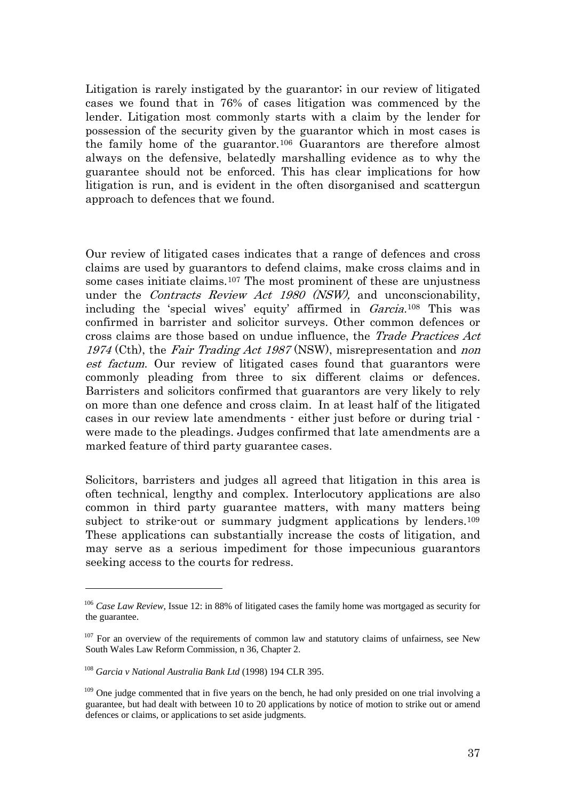Litigation is rarely instigated by the guarantor; in our review of litigated cases we found that in 76% of cases litigation was commenced by the lender. Litigation most commonly starts with a claim by the lender for possession of the security given by the guarantor which in most cases is the family home of the guarantor.[106](#page-36-0) Guarantors are therefore almost always on the defensive, belatedly marshalling evidence as to why the guarantee should not be enforced. This has clear implications for how litigation is run, and is evident in the often disorganised and scattergun approach to defences that we found.

Our review of litigated cases indicates that a range of defences and cross claims are used by guarantors to defend claims, make cross claims and in some cases initiate claims.[107](#page-36-1) The most prominent of these are unjustness under the Contracts Review Act 1980 (NSW), and unconscionability, including the 'special wives' equity' affirmed in Garcia.[108](#page-36-2) This was confirmed in barrister and solicitor surveys. Other common defences or cross claims are those based on undue influence, the Trade Practices Act 1974 (Cth), the Fair Trading Act 1987 (NSW), misrepresentation and non est factum. Our review of litigated cases found that guarantors were commonly pleading from three to six different claims or defences. Barristers and solicitors confirmed that guarantors are very likely to rely on more than one defence and cross claim. In at least half of the litigated cases in our review late amendments - either just before or during trial were made to the pleadings. Judges confirmed that late amendments are a marked feature of third party guarantee cases.

Solicitors, barristers and judges all agreed that litigation in this area is often technical, lengthy and complex. Interlocutory applications are also common in third party guarantee matters, with many matters being subject to strike-out or summary judgment applications by lenders.<sup>109</sup> These applications can substantially increase the costs of litigation, and may serve as a serious impediment for those impecunious guarantors seeking access to the courts for redress.

<span id="page-36-0"></span><sup>&</sup>lt;sup>106</sup> Case Law Review, Issue 12: in 88% of litigated cases the family home was mortgaged as security for the guarantee.

<span id="page-36-1"></span> $107$  For an overview of the requirements of common law and statutory claims of unfairness, see New South Wales Law Reform Commission, n 36, Chapter 2.

<span id="page-36-2"></span><sup>108</sup> *Garcia v National Australia Bank Ltd* (1998) 194 CLR 395.

<span id="page-36-3"></span><sup>&</sup>lt;sup>109</sup> One judge commented that in five years on the bench, he had only presided on one trial involving a guarantee, but had dealt with between 10 to 20 applications by notice of motion to strike out or amend defences or claims, or applications to set aside judgments.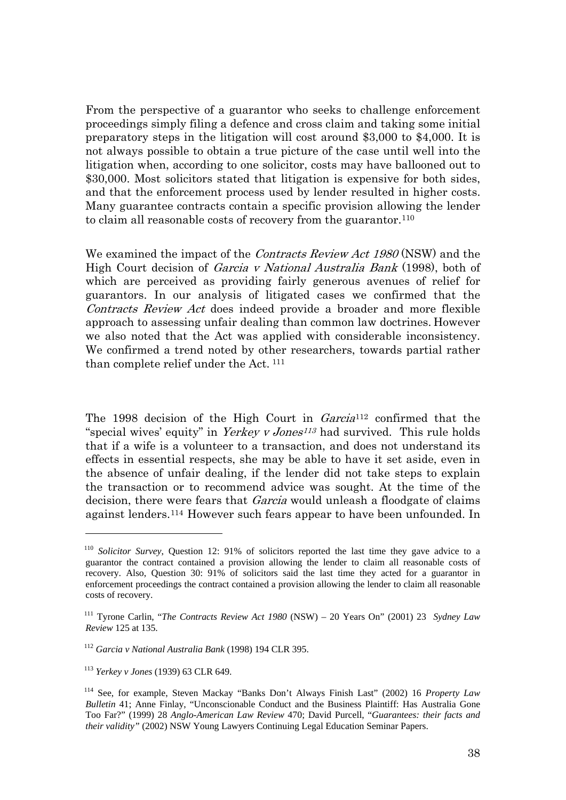From the perspective of a guarantor who seeks to challenge enforcement proceedings simply filing a defence and cross claim and taking some initial preparatory steps in the litigation will cost around \$3,000 to \$4,000. It is not always possible to obtain a true picture of the case until well into the litigation when, according to one solicitor, costs may have ballooned out to \$30,000. Most solicitors stated that litigation is expensive for both sides, and that the enforcement process used by lender resulted in higher costs. Many guarantee contracts contain a specific provision allowing the lender to claim all reasonable costs of recovery from the guarantor.[110](#page-37-0)

We examined the impact of the *Contracts Review Act 1980* (NSW) and the High Court decision of Garcia v National Australia Bank (1998), both of which are perceived as providing fairly generous avenues of relief for guarantors. In our analysis of litigated cases we confirmed that the Contracts Review Act does indeed provide a broader and more flexible approach to assessing unfair dealing than common law doctrines. However we also noted that the Act was applied with considerable inconsistency. We confirmed a trend noted by other researchers, towards partial rather than complete relief under the Act. [111](#page-37-1)

The 1998 decision of the High Court in Garcia<sup>[112](#page-37-2)</sup> confirmed that the "special wives' equity" in Yerkey v Jones<sup>[113](#page-37-3)</sup> had survived. This rule holds that if a wife is a volunteer to a transaction, and does not understand its effects in essential respects, she may be able to have it set aside, even in the absence of unfair dealing, if the lender did not take steps to explain the transaction or to recommend advice was sought. At the time of the decision, there were fears that *Garcia* would unleash a floodgate of claims against lenders.[114](#page-37-4) However such fears appear to have been unfounded. In

<span id="page-37-0"></span><sup>110</sup> *Solicitor Survey*, Question 12: 91% of solicitors reported the last time they gave advice to a guarantor the contract contained a provision allowing the lender to claim all reasonable costs of recovery. Also, Question 30: 91% of solicitors said the last time they acted for a guarantor in enforcement proceedings the contract contained a provision allowing the lender to claim all reasonable costs of recovery.

<span id="page-37-1"></span><sup>111</sup> Tyrone Carlin, "*The Contracts Review Act 1980* (NSW) – 20 Years On" (2001) 23 *Sydney Law Review* 125 at 135.

<span id="page-37-2"></span><sup>112</sup> *Garcia v National Australia Bank* (1998) 194 CLR 395.

<span id="page-37-3"></span><sup>113</sup> *Yerkey v Jones* (1939) 63 CLR 649.

<span id="page-37-4"></span><sup>114</sup> See, for example, Steven Mackay "Banks Don't Always Finish Last" (2002) 16 *Property Law Bulletin* 41; Anne Finlay, "Unconscionable Conduct and the Business Plaintiff: Has Australia Gone Too Far?" (1999) 28 *Anglo-American Law Review* 470; David Purcell, "*Guarantees: their facts and their validity"* (2002) NSW Young Lawyers Continuing Legal Education Seminar Papers.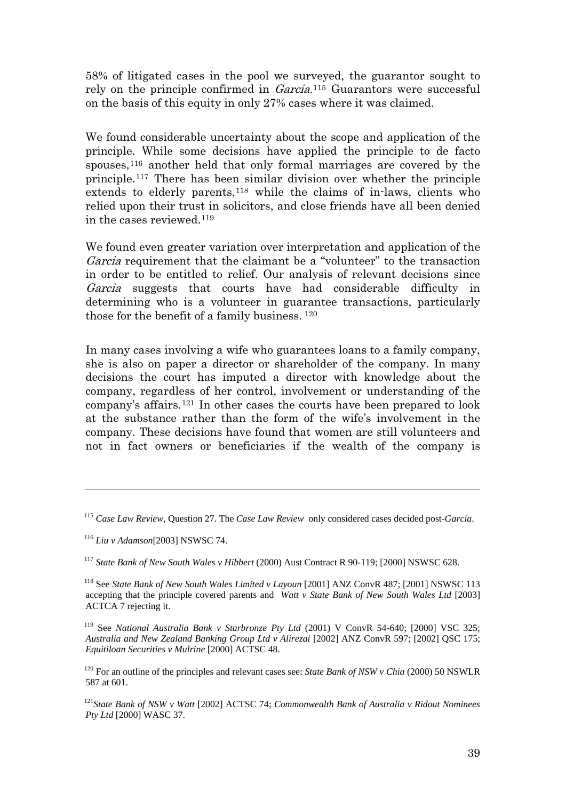58% of litigated cases in the pool we surveyed, the guarantor sought to rely on the principle confirmed in Garcia.[115](#page-38-0) Guarantors were successful on the basis of this equity in only 27% cases where it was claimed.

We found considerable uncertainty about the scope and application of the principle. While some decisions have applied the principle to de facto spouses,[116](#page-38-1) another held that only formal marriages are covered by the principle.[117](#page-38-2) There has been similar division over whether the principle extends to elderly parents,<sup>[118](#page-38-3)</sup> while the claims of in-laws, clients who relied upon their trust in solicitors, and close friends have all been denied in the cases reviewed.[119](#page-38-4)

We found even greater variation over interpretation and application of the Garcia requirement that the claimant be a "volunteer" to the transaction in order to be entitled to relief. Our analysis of relevant decisions since Garcia suggests that courts have had considerable difficulty in determining who is a volunteer in guarantee transactions, particularly those for the benefit of a family business. [120](#page-38-5)

In many cases involving a wife who guarantees loans to a family company, she is also on paper a director or shareholder of the company. In many decisions the court has imputed a director with knowledge about the company, regardless of her control, involvement or understanding of the company's affairs.[121](#page-38-6) In other cases the courts have been prepared to look at the substance rather than the form of the wife's involvement in the company. These decisions have found that women are still volunteers and not in fact owners or beneficiaries if the wealth of the company is

1

<span id="page-38-2"></span><sup>117</sup> *State Bank of New South Wales v Hibbert* (2000) Aust Contract R 90-119; [2000] NSWSC 628.

<span id="page-38-0"></span><sup>115</sup> *Case Law Review*, Question 27. The *Case Law Review* only considered cases decided post-*Garcia*.

<span id="page-38-1"></span><sup>116</sup> *Liu v Adamson*[2003] NSWSC 74.

<span id="page-38-3"></span><sup>118</sup> See *State Bank of New South Wales Limited v Layoun* [2001] ANZ ConvR 487; [2001] NSWSC 113 accepting that the principle covered parents and *Watt v State Bank of New South Wales Ltd* [2003] ACTCA 7 rejecting it.

<span id="page-38-4"></span><sup>119</sup> See *National Australia Bank v Starbronze Pty Ltd* (2001) V ConvR 54-640; [2000] VSC 325; *Australia and New Zealand Banking Group Ltd v Alirezai* [2002] ANZ ConvR 597; [2002] QSC 175; *Equitiloan Securities v Mulrine* [2000] ACTSC 48.

<span id="page-38-5"></span><sup>&</sup>lt;sup>120</sup> For an outline of the principles and relevant cases see: *State Bank of NSW v Chia* (2000) 50 NSWLR 587 at 601.

<span id="page-38-6"></span><sup>121</sup>*State Bank of NSW v Watt* [2002] ACTSC 74; *Commonwealth Bank of Australia v Ridout Nominees Pty Ltd* [2000] WASC 37.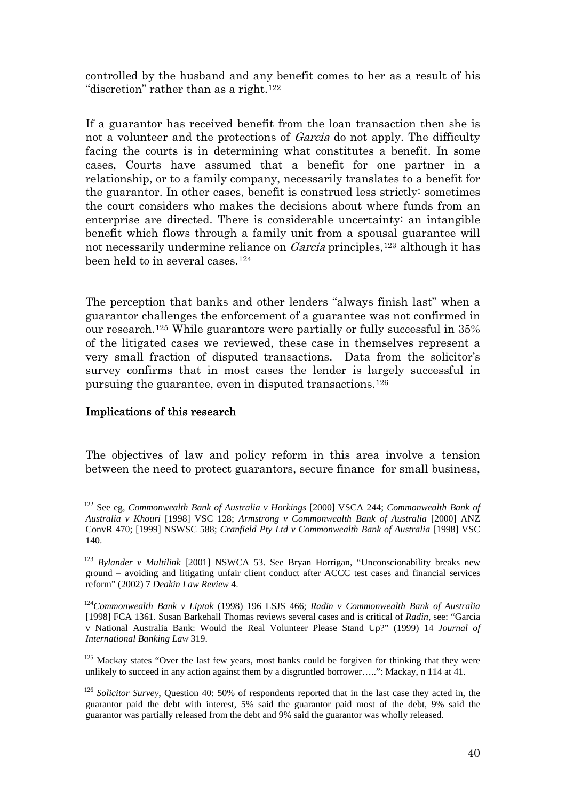controlled by the husband and any benefit comes to her as a result of his "discretion" rather than as a right.<sup>[122](#page-39-0)</sup>

If a guarantor has received benefit from the loan transaction then she is not a volunteer and the protections of *Garcia* do not apply. The difficulty facing the courts is in determining what constitutes a benefit. In some cases, Courts have assumed that a benefit for one partner in a relationship, or to a family company, necessarily translates to a benefit for the guarantor. In other cases, benefit is construed less strictly: sometimes the court considers who makes the decisions about where funds from an enterprise are directed. There is considerable uncertainty: an intangible benefit which flows through a family unit from a spousal guarantee will not necessarily undermine reliance on *Garcia* principles,<sup>[123](#page-39-1)</sup> although it has been held to in several cases.[124](#page-39-2)

The perception that banks and other lenders "always finish last" when a guarantor challenges the enforcement of a guarantee was not confirmed in our research.[125](#page-39-3) While guarantors were partially or fully successful in 35% of the litigated cases we reviewed, these case in themselves represent a very small fraction of disputed transactions. Data from the solicitor's survey confirms that in most cases the lender is largely successful in pursuing the guarantee, even in disputed transactions[.126](#page-39-4)

## Implications of this research

1

The objectives of law and policy reform in this area involve a tension between the need to protect guarantors, secure finance for small business,

<span id="page-39-0"></span><sup>122</sup> See eg, *Commonwealth Bank of Australia v Horkings* [2000] VSCA 244; *Commonwealth Bank of Australia v Khouri* [1998] VSC 128; *Armstrong v Commonwealth Bank of Australia* [2000] ANZ ConvR 470; [1999] NSWSC 588; *Cranfield Pty Ltd v Commonwealth Bank of Australia* [1998] VSC 140.

<span id="page-39-1"></span><sup>123</sup> *Bylander v Multilink* [2001] NSWCA 53. See Bryan Horrigan, "Unconscionability breaks new ground – avoiding and litigating unfair client conduct after ACCC test cases and financial services reform" (2002) 7 *Deakin Law Review* 4.

<span id="page-39-2"></span><sup>124</sup>*Commonwealth Bank v Liptak* (1998) 196 LSJS 466; *Radin v Commonwealth Bank of Australia*  [1998] FCA 1361. Susan Barkehall Thomas reviews several cases and is critical of *Radin*, see: "Garcia v National Australia Bank: Would the Real Volunteer Please Stand Up?" (1999) 14 *Journal of International Banking Law* 319.

<span id="page-39-3"></span> $125$  Mackay states "Over the last few years, most banks could be forgiven for thinking that they were unlikely to succeed in any action against them by a disgruntled borrower…..": Mackay, n 114 at 41.

<span id="page-39-4"></span><sup>126</sup> *Solicitor Survey*, Question 40: 50% of respondents reported that in the last case they acted in, the guarantor paid the debt with interest, 5% said the guarantor paid most of the debt, 9% said the guarantor was partially released from the debt and 9% said the guarantor was wholly released.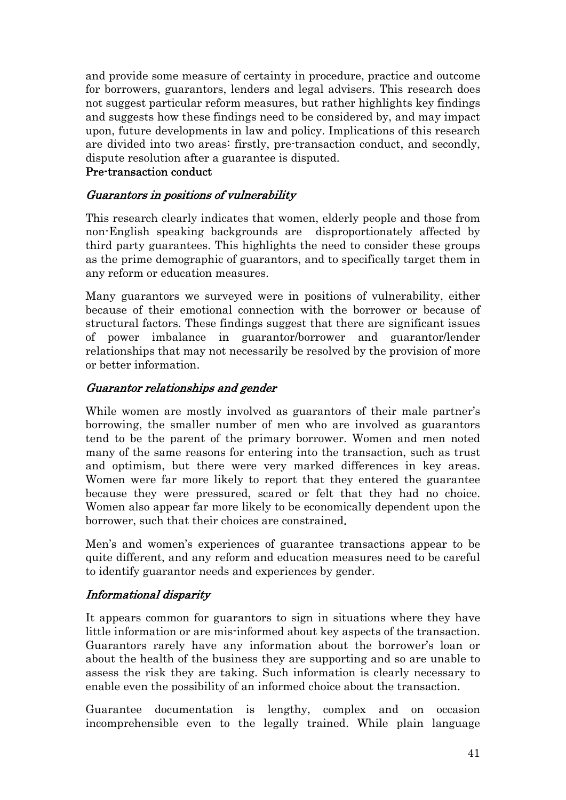and provide some measure of certainty in procedure, practice and outcome for borrowers, guarantors, lenders and legal advisers. This research does not suggest particular reform measures, but rather highlights key findings and suggests how these findings need to be considered by, and may impact upon, future developments in law and policy. Implications of this research are divided into two areas: firstly, pre-transaction conduct, and secondly, dispute resolution after a guarantee is disputed.

## Pre-transaction conduct

# Guarantors in positions of vulnerability

This research clearly indicates that women, elderly people and those from non-English speaking backgrounds are disproportionately affected by third party guarantees. This highlights the need to consider these groups as the prime demographic of guarantors, and to specifically target them in any reform or education measures.

Many guarantors we surveyed were in positions of vulnerability, either because of their emotional connection with the borrower or because of structural factors. These findings suggest that there are significant issues of power imbalance in guarantor/borrower and guarantor/lender relationships that may not necessarily be resolved by the provision of more or better information.

# Guarantor relationships and gender

While women are mostly involved as guarantors of their male partner's borrowing, the smaller number of men who are involved as guarantors tend to be the parent of the primary borrower. Women and men noted many of the same reasons for entering into the transaction, such as trust and optimism, but there were very marked differences in key areas. Women were far more likely to report that they entered the guarantee because they were pressured, scared or felt that they had no choice. Women also appear far more likely to be economically dependent upon the borrower, such that their choices are constrained.

Men's and women's experiences of guarantee transactions appear to be quite different, and any reform and education measures need to be careful to identify guarantor needs and experiences by gender.

# Informational disparity

It appears common for guarantors to sign in situations where they have little information or are mis-informed about key aspects of the transaction. Guarantors rarely have any information about the borrower's loan or about the health of the business they are supporting and so are unable to assess the risk they are taking. Such information is clearly necessary to enable even the possibility of an informed choice about the transaction.

Guarantee documentation is lengthy, complex and on occasion incomprehensible even to the legally trained. While plain language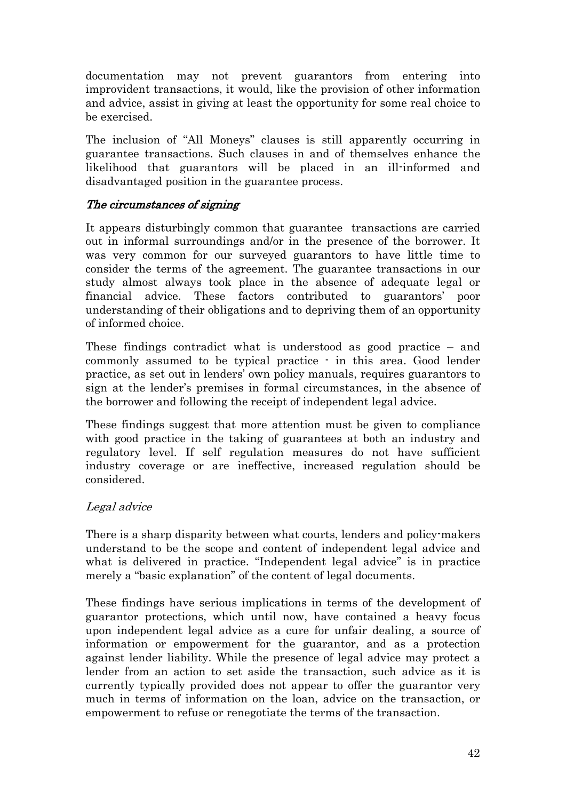documentation may not prevent guarantors from entering into improvident transactions, it would, like the provision of other information and advice, assist in giving at least the opportunity for some real choice to be exercised.

The inclusion of "All Moneys" clauses is still apparently occurring in guarantee transactions. Such clauses in and of themselves enhance the likelihood that guarantors will be placed in an ill-informed and disadvantaged position in the guarantee process.

## The circumstances of signing

It appears disturbingly common that guarantee transactions are carried out in informal surroundings and/or in the presence of the borrower. It was very common for our surveyed guarantors to have little time to consider the terms of the agreement. The guarantee transactions in our study almost always took place in the absence of adequate legal or financial advice. These factors contributed to guarantors' poor understanding of their obligations and to depriving them of an opportunity of informed choice.

These findings contradict what is understood as good practice – and commonly assumed to be typical practice - in this area. Good lender practice, as set out in lenders' own policy manuals, requires guarantors to sign at the lender's premises in formal circumstances, in the absence of the borrower and following the receipt of independent legal advice.

These findings suggest that more attention must be given to compliance with good practice in the taking of guarantees at both an industry and regulatory level. If self regulation measures do not have sufficient industry coverage or are ineffective, increased regulation should be considered.

# Legal advice

There is a sharp disparity between what courts, lenders and policy-makers understand to be the scope and content of independent legal advice and what is delivered in practice. "Independent legal advice" is in practice merely a "basic explanation" of the content of legal documents.

These findings have serious implications in terms of the development of guarantor protections, which until now, have contained a heavy focus upon independent legal advice as a cure for unfair dealing, a source of information or empowerment for the guarantor, and as a protection against lender liability. While the presence of legal advice may protect a lender from an action to set aside the transaction, such advice as it is currently typically provided does not appear to offer the guarantor very much in terms of information on the loan, advice on the transaction, or empowerment to refuse or renegotiate the terms of the transaction.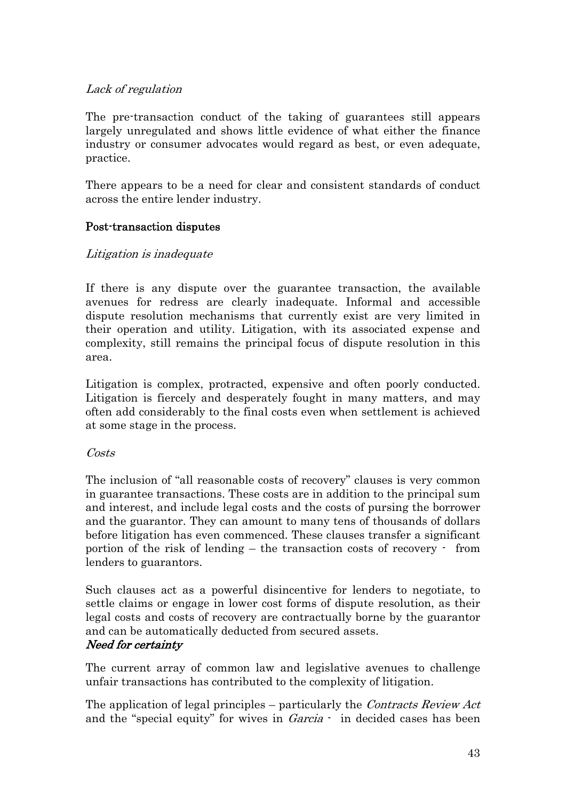# Lack of regulation

The pre-transaction conduct of the taking of guarantees still appears largely unregulated and shows little evidence of what either the finance industry or consumer advocates would regard as best, or even adequate, practice.

There appears to be a need for clear and consistent standards of conduct across the entire lender industry.

# Post-transaction disputes

## Litigation is inadequate

If there is any dispute over the guarantee transaction, the available avenues for redress are clearly inadequate. Informal and accessible dispute resolution mechanisms that currently exist are very limited in their operation and utility. Litigation, with its associated expense and complexity, still remains the principal focus of dispute resolution in this area.

Litigation is complex, protracted, expensive and often poorly conducted. Litigation is fiercely and desperately fought in many matters, and may often add considerably to the final costs even when settlement is achieved at some stage in the process.

## Costs

The inclusion of "all reasonable costs of recovery" clauses is very common in guarantee transactions. These costs are in addition to the principal sum and interest, and include legal costs and the costs of pursing the borrower and the guarantor. They can amount to many tens of thousands of dollars before litigation has even commenced. These clauses transfer a significant portion of the risk of lending – the transaction costs of recovery - from lenders to guarantors.

Such clauses act as a powerful disincentive for lenders to negotiate, to settle claims or engage in lower cost forms of dispute resolution, as their legal costs and costs of recovery are contractually borne by the guarantor and can be automatically deducted from secured assets.

## Need for certainty

The current array of common law and legislative avenues to challenge unfair transactions has contributed to the complexity of litigation.

The application of legal principles – particularly the *Contracts Review Act* and the "special equity" for wives in *Garcia* - in decided cases has been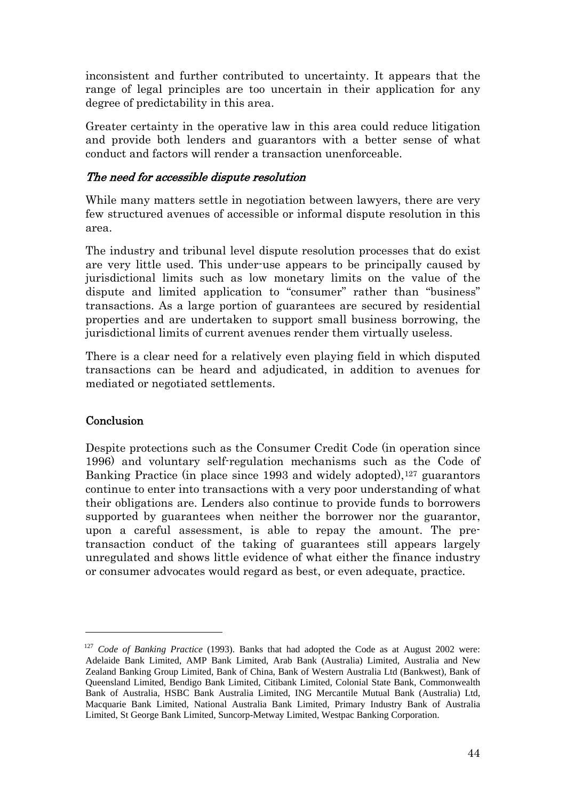inconsistent and further contributed to uncertainty. It appears that the range of legal principles are too uncertain in their application for any degree of predictability in this area.

Greater certainty in the operative law in this area could reduce litigation and provide both lenders and guarantors with a better sense of what conduct and factors will render a transaction unenforceable.

## The need for accessible dispute resolution

While many matters settle in negotiation between lawyers, there are very few structured avenues of accessible or informal dispute resolution in this area.

The industry and tribunal level dispute resolution processes that do exist are very little used. This under-use appears to be principally caused by jurisdictional limits such as low monetary limits on the value of the dispute and limited application to "consumer" rather than "business" transactions. As a large portion of guarantees are secured by residential properties and are undertaken to support small business borrowing, the jurisdictional limits of current avenues render them virtually useless.

There is a clear need for a relatively even playing field in which disputed transactions can be heard and adjudicated, in addition to avenues for mediated or negotiated settlements.

## **Conclusion**

 $\overline{a}$ 

Despite protections such as the Consumer Credit Code (in operation since 1996) and voluntary self-regulation mechanisms such as the Code of Banking Practice (in place since 1993 and widely adopted),<sup>[127](#page-43-0)</sup> guarantors continue to enter into transactions with a very poor understanding of what their obligations are. Lenders also continue to provide funds to borrowers supported by guarantees when neither the borrower nor the guarantor, upon a careful assessment, is able to repay the amount. The pretransaction conduct of the taking of guarantees still appears largely unregulated and shows little evidence of what either the finance industry or consumer advocates would regard as best, or even adequate, practice.

<span id="page-43-0"></span><sup>127</sup> *Code of Banking Practice* (1993). Banks that had adopted the Code as at August 2002 were: Adelaide Bank Limited, AMP Bank Limited, Arab Bank (Australia) Limited, Australia and New Zealand Banking Group Limited, Bank of China, Bank of Western Australia Ltd (Bankwest), Bank of Queensland Limited, Bendigo Bank Limited, Citibank Limited, Colonial State Bank, Commonwealth Bank of Australia, HSBC Bank Australia Limited, ING Mercantile Mutual Bank (Australia) Ltd, Macquarie Bank Limited, National Australia Bank Limited, Primary Industry Bank of Australia Limited, St George Bank Limited, Suncorp-Metway Limited, Westpac Banking Corporation.